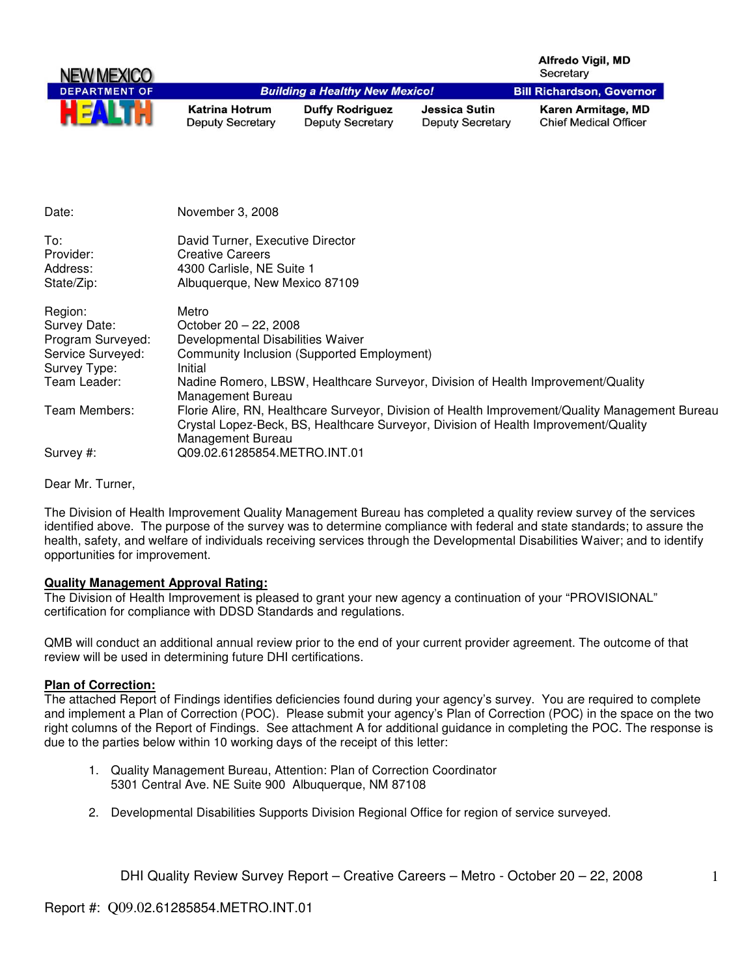| NEW MEXICO           |                                                  |                                                   |                                                 | Alfredo Vigil, MD<br>Secretary                     |
|----------------------|--------------------------------------------------|---------------------------------------------------|-------------------------------------------------|----------------------------------------------------|
| <b>DEPARTMENT OF</b> |                                                  | <b>Building a Healthy New Mexico!</b>             |                                                 | <b>Bill Richardson, Governor</b>                   |
| HE                   | <b>Katrina Hotrum</b><br><b>Deputy Secretary</b> | <b>Duffy Rodriguez</b><br><b>Deputy Secretary</b> | <b>Jessica Sutin</b><br><b>Deputy Secretary</b> | Karen Armitage, MD<br><b>Chief Medical Officer</b> |

| Date:                                                                             | November 3, 2008                                                                                                                                                                                            |
|-----------------------------------------------------------------------------------|-------------------------------------------------------------------------------------------------------------------------------------------------------------------------------------------------------------|
| To:<br>Provider:<br>Address:<br>State/Zip:                                        | David Turner, Executive Director<br><b>Creative Careers</b><br>4300 Carlisle, NE Suite 1<br>Albuquerque, New Mexico 87109                                                                                   |
| Region:<br>Survey Date:<br>Program Surveyed:<br>Service Surveyed:<br>Survey Type: | Metro<br>October $20 - 22$ , 2008<br>Developmental Disabilities Waiver<br><b>Community Inclusion (Supported Employment)</b><br>Initial                                                                      |
| Team Leader:                                                                      | Nadine Romero, LBSW, Healthcare Surveyor, Division of Health Improvement/Quality<br>Management Bureau                                                                                                       |
| Team Members:                                                                     | Florie Alire, RN, Healthcare Surveyor, Division of Health Improvement/Quality Management Bureau<br>Crystal Lopez-Beck, BS, Healthcare Surveyor, Division of Health Improvement/Quality<br>Management Bureau |
| Survey #:                                                                         | Q09.02.61285854.METRO.INT.01                                                                                                                                                                                |

Dear Mr. Turner,

The Division of Health Improvement Quality Management Bureau has completed a quality review survey of the services identified above. The purpose of the survey was to determine compliance with federal and state standards; to assure the health, safety, and welfare of individuals receiving services through the Developmental Disabilities Waiver; and to identify opportunities for improvement.

#### **Quality Management Approval Rating:**

The Division of Health Improvement is pleased to grant your new agency a continuation of your "PROVISIONAL" certification for compliance with DDSD Standards and regulations.

QMB will conduct an additional annual review prior to the end of your current provider agreement. The outcome of that review will be used in determining future DHI certifications.

#### **Plan of Correction:**

The attached Report of Findings identifies deficiencies found during your agency's survey. You are required to complete and implement a Plan of Correction (POC). Please submit your agency's Plan of Correction (POC) in the space on the two right columns of the Report of Findings. See attachment A for additional guidance in completing the POC. The response is due to the parties below within 10 working days of the receipt of this letter:

- 1. Quality Management Bureau, Attention: Plan of Correction Coordinator 5301 Central Ave. NE Suite 900 Albuquerque, NM 87108
- 2. Developmental Disabilities Supports Division Regional Office for region of service surveyed.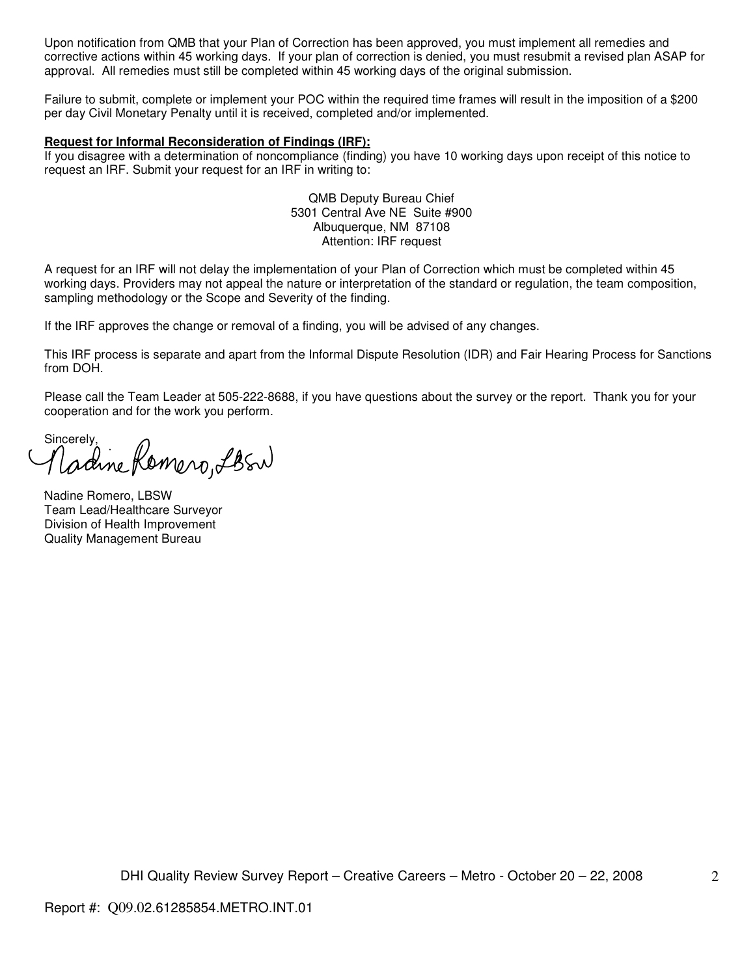Upon notification from QMB that your Plan of Correction has been approved, you must implement all remedies and corrective actions within 45 working days. If your plan of correction is denied, you must resubmit a revised plan ASAP for approval. All remedies must still be completed within 45 working days of the original submission.

Failure to submit, complete or implement your POC within the required time frames will result in the imposition of a \$200 per day Civil Monetary Penalty until it is received, completed and/or implemented.

#### **Request for Informal Reconsideration of Findings (IRF):**

If you disagree with a determination of noncompliance (finding) you have 10 working days upon receipt of this notice to request an IRF. Submit your request for an IRF in writing to:

> QMB Deputy Bureau Chief 5301 Central Ave NE Suite #900 Albuquerque, NM 87108 Attention: IRF request

A request for an IRF will not delay the implementation of your Plan of Correction which must be completed within 45 working days. Providers may not appeal the nature or interpretation of the standard or regulation, the team composition, sampling methodology or the Scope and Severity of the finding.

If the IRF approves the change or removal of a finding, you will be advised of any changes.

This IRF process is separate and apart from the Informal Dispute Resolution (IDR) and Fair Hearing Process for Sanctions from DOH.

Please call the Team Leader at 505-222-8688, if you have questions about the survey or the report. Thank you for your cooperation and for the work you perform.

Sincerely, Demero, LBSN

Nadine Romero, LBSW Team Lead/Healthcare Surveyor Division of Health Improvement Quality Management Bureau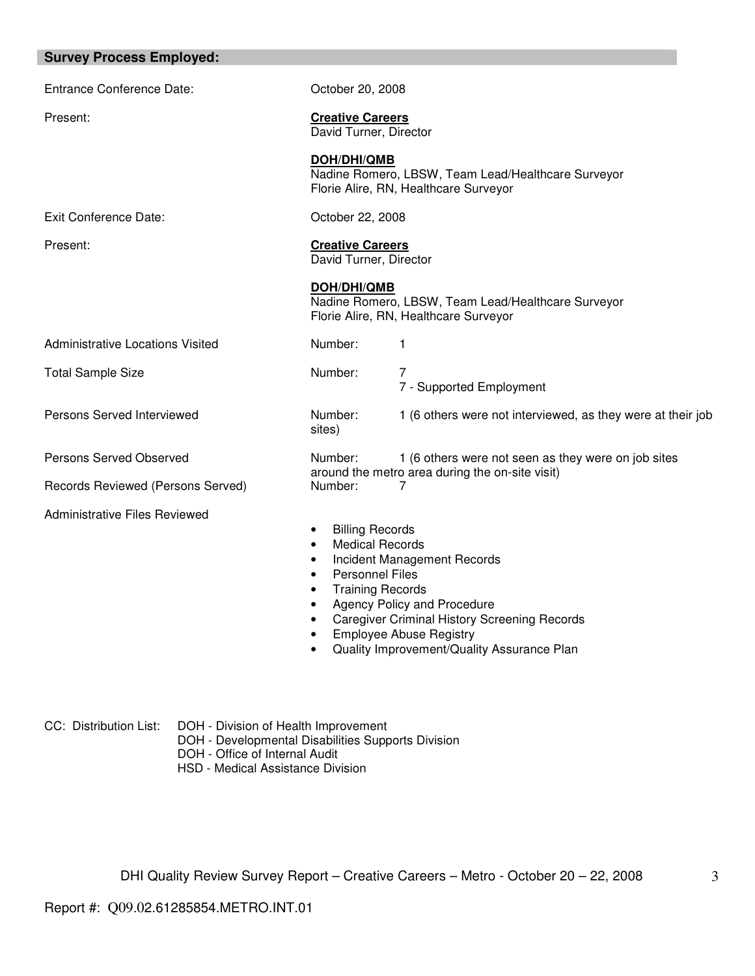| <b>Survey Process Employed:</b>         |                                                                                                                                                        |  |  |
|-----------------------------------------|--------------------------------------------------------------------------------------------------------------------------------------------------------|--|--|
| <b>Entrance Conference Date:</b>        | October 20, 2008                                                                                                                                       |  |  |
| Present:                                | <b>Creative Careers</b><br>David Turner, Director                                                                                                      |  |  |
|                                         | DOH/DHI/QMB<br>Nadine Romero, LBSW, Team Lead/Healthcare Surveyor<br>Florie Alire, RN, Healthcare Surveyor                                             |  |  |
| <b>Exit Conference Date:</b>            | October 22, 2008                                                                                                                                       |  |  |
| Present:                                | <b>Creative Careers</b><br>David Turner, Director                                                                                                      |  |  |
|                                         | DOH/DHI/QMB<br>Nadine Romero, LBSW, Team Lead/Healthcare Surveyor<br>Florie Alire, RN, Healthcare Surveyor                                             |  |  |
| <b>Administrative Locations Visited</b> | Number:<br>1                                                                                                                                           |  |  |
| <b>Total Sample Size</b>                | Number:<br>$\overline{7}$<br>7 - Supported Employment                                                                                                  |  |  |
| Persons Served Interviewed              | Number:<br>1 (6 others were not interviewed, as they were at their job<br>sites)                                                                       |  |  |
| Persons Served Observed                 | Number:<br>1 (6 others were not seen as they were on job sites                                                                                         |  |  |
| Records Reviewed (Persons Served)       | around the metro area during the on-site visit)<br>Number:<br>7                                                                                        |  |  |
| <b>Administrative Files Reviewed</b>    | <b>Billing Records</b><br>٠<br><b>Medical Records</b><br>$\bullet$<br>Incident Management Records<br><b>Personnel Files</b><br><b>Training Records</b> |  |  |

- Agency Policy and Procedure
- Caregiver Criminal History Screening Records
- Employee Abuse Registry
- Quality Improvement/Quality Assurance Plan

CC: Distribution List: DOH - Division of Health Improvement

- DOH Developmental Disabilities Supports Division
- DOH Office of Internal Audit
- HSD Medical Assistance Division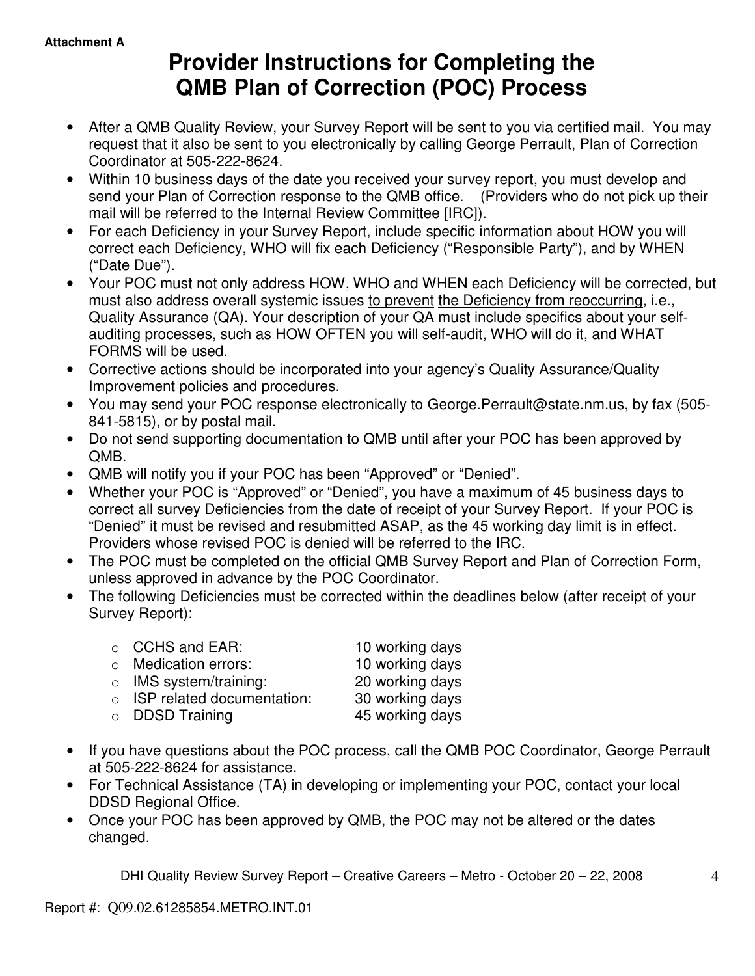# **Provider Instructions for Completing the QMB Plan of Correction (POC) Process**

- After a QMB Quality Review, your Survey Report will be sent to you via certified mail. You may request that it also be sent to you electronically by calling George Perrault, Plan of Correction Coordinator at 505-222-8624.
- Within 10 business days of the date you received your survey report, you must develop and send your Plan of Correction response to the QMB office. (Providers who do not pick up their mail will be referred to the Internal Review Committee [IRC]).
- For each Deficiency in your Survey Report, include specific information about HOW you will correct each Deficiency, WHO will fix each Deficiency ("Responsible Party"), and by WHEN ("Date Due").
- Your POC must not only address HOW, WHO and WHEN each Deficiency will be corrected, but must also address overall systemic issues to prevent the Deficiency from reoccurring, i.e., Quality Assurance (QA). Your description of your QA must include specifics about your selfauditing processes, such as HOW OFTEN you will self-audit, WHO will do it, and WHAT FORMS will be used.
- Corrective actions should be incorporated into your agency's Quality Assurance/Quality Improvement policies and procedures.
- You may send your POC response electronically to George.Perrault@state.nm.us, by fax (505- 841-5815), or by postal mail.
- Do not send supporting documentation to QMB until after your POC has been approved by QMB.
- QMB will notify you if your POC has been "Approved" or "Denied".
- Whether your POC is "Approved" or "Denied", you have a maximum of 45 business days to correct all survey Deficiencies from the date of receipt of your Survey Report. If your POC is "Denied" it must be revised and resubmitted ASAP, as the 45 working day limit is in effect. Providers whose revised POC is denied will be referred to the IRC.
- The POC must be completed on the official QMB Survey Report and Plan of Correction Form, unless approved in advance by the POC Coordinator.
- The following Deficiencies must be corrected within the deadlines below (after receipt of your Survey Report):

| $\circ$ CCHS and EAR:              | 10 working days |
|------------------------------------|-----------------|
| o Medication errors:               | 10 working days |
| $\circ$ IMS system/training:       | 20 working days |
| $\circ$ ISP related documentation: | 30 working days |
| $\circ$ DDSD Training              | 45 working days |
|                                    |                 |

- If you have questions about the POC process, call the QMB POC Coordinator, George Perrault at 505-222-8624 for assistance.
- For Technical Assistance (TA) in developing or implementing your POC, contact your local DDSD Regional Office.
- Once your POC has been approved by QMB, the POC may not be altered or the dates changed.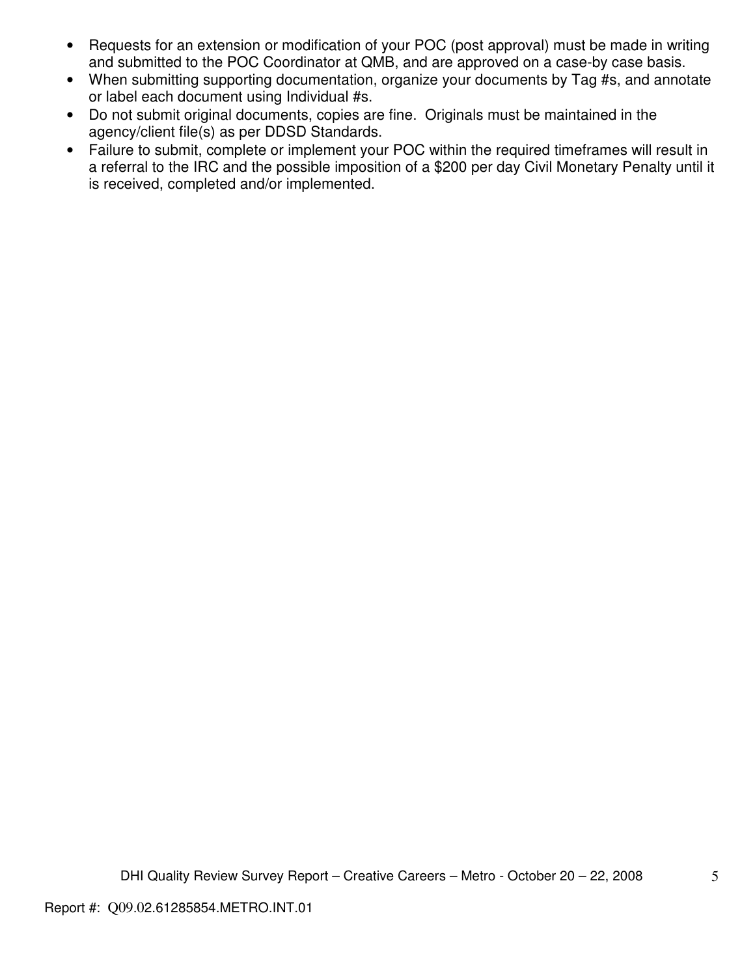- Requests for an extension or modification of your POC (post approval) must be made in writing and submitted to the POC Coordinator at QMB, and are approved on a case-by case basis.
- When submitting supporting documentation, organize your documents by Tag #s, and annotate or label each document using Individual #s.
- Do not submit original documents, copies are fine. Originals must be maintained in the agency/client file(s) as per DDSD Standards.
- Failure to submit, complete or implement your POC within the required timeframes will result in a referral to the IRC and the possible imposition of a \$200 per day Civil Monetary Penalty until it is received, completed and/or implemented.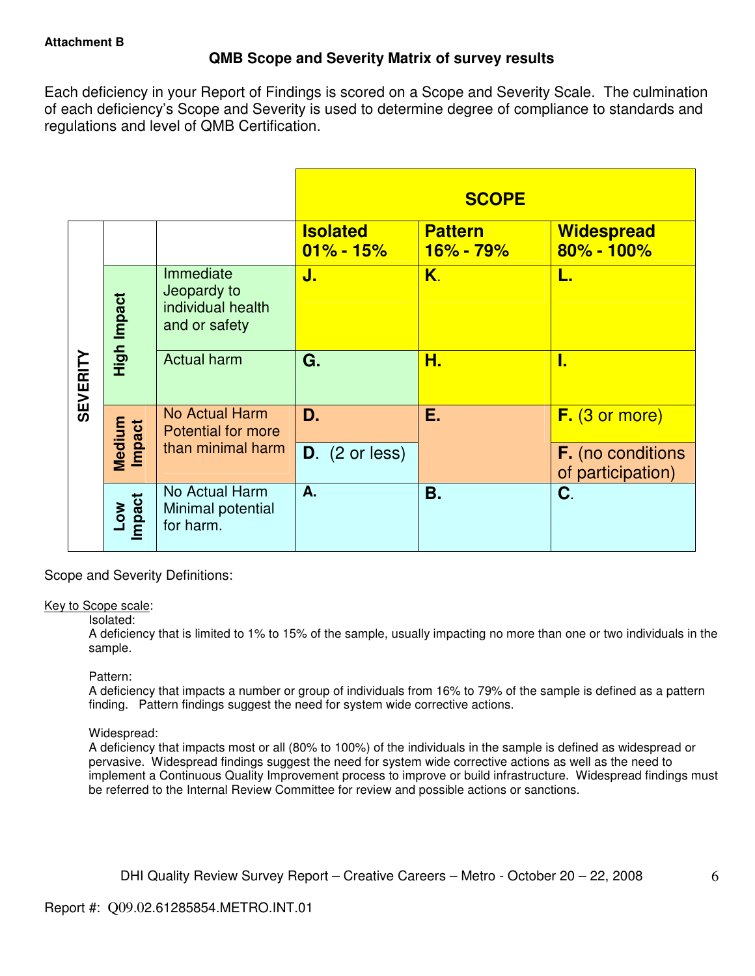# **QMB Scope and Severity Matrix of survey results**

Each deficiency in your Report of Findings is scored on a Scope and Severity Scale. The culmination of each deficiency's Scope and Severity is used to determine degree of compliance to standards and regulations and level of QMB Certification.

|                 |                  |                                                                |                                  | <b>SCOPE</b>                |                                               |
|-----------------|------------------|----------------------------------------------------------------|----------------------------------|-----------------------------|-----------------------------------------------|
|                 |                  |                                                                | <b>Isolated</b><br>$01\% - 15\%$ | <b>Pattern</b><br>16% - 79% | <b>Widespread</b><br>80% - 100%               |
|                 | High Impact      | Immediate<br>Jeopardy to<br>individual health<br>and or safety | J.                               | K.                          | L.                                            |
| <b>SEVERITY</b> |                  | <b>Actual harm</b>                                             | G.                               | Н.                          | I.                                            |
|                 |                  | No Actual Harm<br><b>Potential for more</b>                    | D.                               | Ε.                          | $F.$ (3 or more)                              |
|                 | Medium<br>Impact | than minimal harm                                              | $D.$ (2 or less)                 |                             | <b>F.</b> (no conditions<br>of participation) |
|                 | Low<br>Impact    | No Actual Harm<br>Minimal potential<br>for harm.               | A.                               | Β.                          | C.                                            |

Scope and Severity Definitions:

#### Key to Scope scale:

#### Isolated:

A deficiency that is limited to 1% to 15% of the sample, usually impacting no more than one or two individuals in the sample.

## Pattern:

A deficiency that impacts a number or group of individuals from 16% to 79% of the sample is defined as a pattern finding. Pattern findings suggest the need for system wide corrective actions.

## Widespread:

A deficiency that impacts most or all (80% to 100%) of the individuals in the sample is defined as widespread or pervasive. Widespread findings suggest the need for system wide corrective actions as well as the need to implement a Continuous Quality Improvement process to improve or build infrastructure. Widespread findings must be referred to the Internal Review Committee for review and possible actions or sanctions.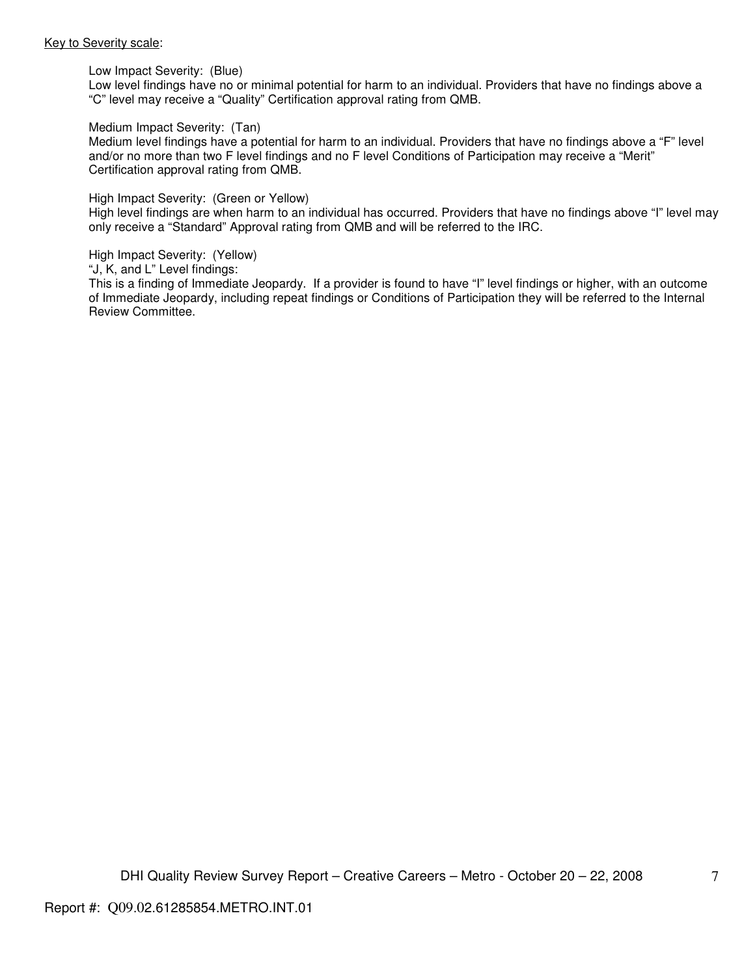#### Key to Severity scale:

Low Impact Severity: (Blue)

Low level findings have no or minimal potential for harm to an individual. Providers that have no findings above a "C" level may receive a "Quality" Certification approval rating from QMB.

#### Medium Impact Severity: (Tan)

Medium level findings have a potential for harm to an individual. Providers that have no findings above a "F" level and/or no more than two F level findings and no F level Conditions of Participation may receive a "Merit" Certification approval rating from QMB.

#### High Impact Severity: (Green or Yellow)

High level findings are when harm to an individual has occurred. Providers that have no findings above "I" level may only receive a "Standard" Approval rating from QMB and will be referred to the IRC.

#### High Impact Severity: (Yellow)

"J, K, and L" Level findings:

This is a finding of Immediate Jeopardy. If a provider is found to have "I" level findings or higher, with an outcome of Immediate Jeopardy, including repeat findings or Conditions of Participation they will be referred to the Internal Review Committee.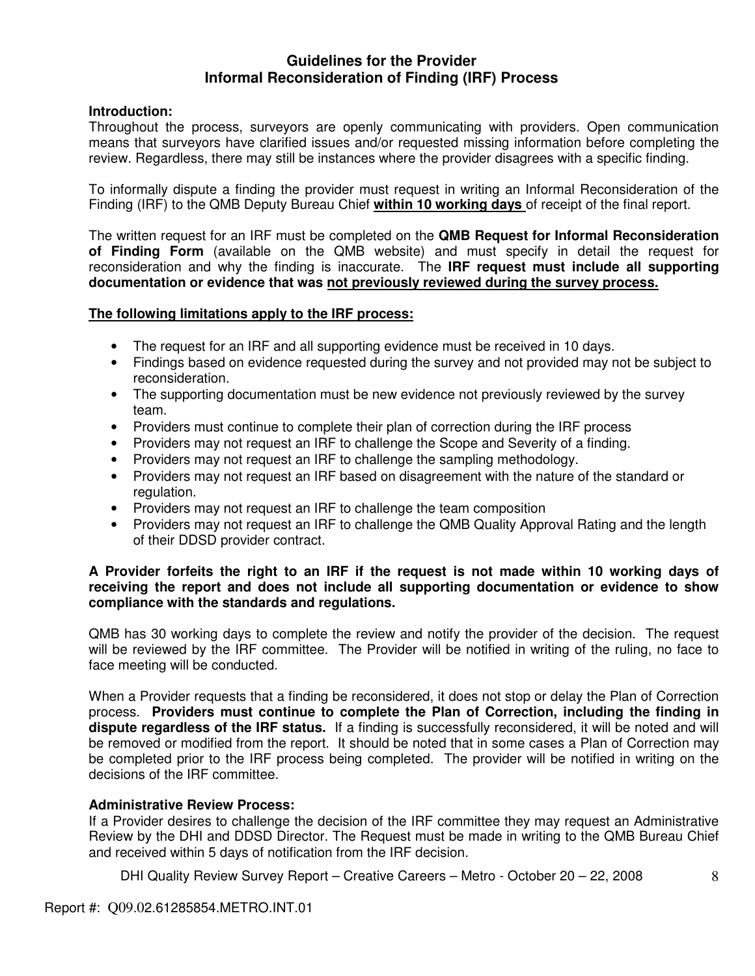## **Guidelines for the Provider Informal Reconsideration of Finding (IRF) Process**

## **Introduction:**

Throughout the process, surveyors are openly communicating with providers. Open communication means that surveyors have clarified issues and/or requested missing information before completing the review. Regardless, there may still be instances where the provider disagrees with a specific finding.

To informally dispute a finding the provider must request in writing an Informal Reconsideration of the Finding (IRF) to the QMB Deputy Bureau Chief **within 10 working days** of receipt of the final report.

The written request for an IRF must be completed on the **QMB Request for Informal Reconsideration of Finding Form** (available on the QMB website) and must specify in detail the request for reconsideration and why the finding is inaccurate. The **IRF request must include all supporting documentation or evidence that was not previously reviewed during the survey process.** 

## **The following limitations apply to the IRF process:**

- The request for an IRF and all supporting evidence must be received in 10 days.
- Findings based on evidence requested during the survey and not provided may not be subject to reconsideration.
- The supporting documentation must be new evidence not previously reviewed by the survey team.
- Providers must continue to complete their plan of correction during the IRF process
- Providers may not request an IRF to challenge the Scope and Severity of a finding.
- Providers may not request an IRF to challenge the sampling methodology.
- Providers may not request an IRF based on disagreement with the nature of the standard or regulation.
- Providers may not request an IRF to challenge the team composition
- Providers may not request an IRF to challenge the QMB Quality Approval Rating and the length of their DDSD provider contract.

## **A Provider forfeits the right to an IRF if the request is not made within 10 working days of receiving the report and does not include all supporting documentation or evidence to show compliance with the standards and regulations.**

QMB has 30 working days to complete the review and notify the provider of the decision. The request will be reviewed by the IRF committee. The Provider will be notified in writing of the ruling, no face to face meeting will be conducted.

When a Provider requests that a finding be reconsidered, it does not stop or delay the Plan of Correction process. **Providers must continue to complete the Plan of Correction, including the finding in dispute regardless of the IRF status.** If a finding is successfully reconsidered, it will be noted and will be removed or modified from the report. It should be noted that in some cases a Plan of Correction may be completed prior to the IRF process being completed. The provider will be notified in writing on the decisions of the IRF committee.

#### **Administrative Review Process:**

If a Provider desires to challenge the decision of the IRF committee they may request an Administrative Review by the DHI and DDSD Director. The Request must be made in writing to the QMB Bureau Chief and received within 5 days of notification from the IRF decision.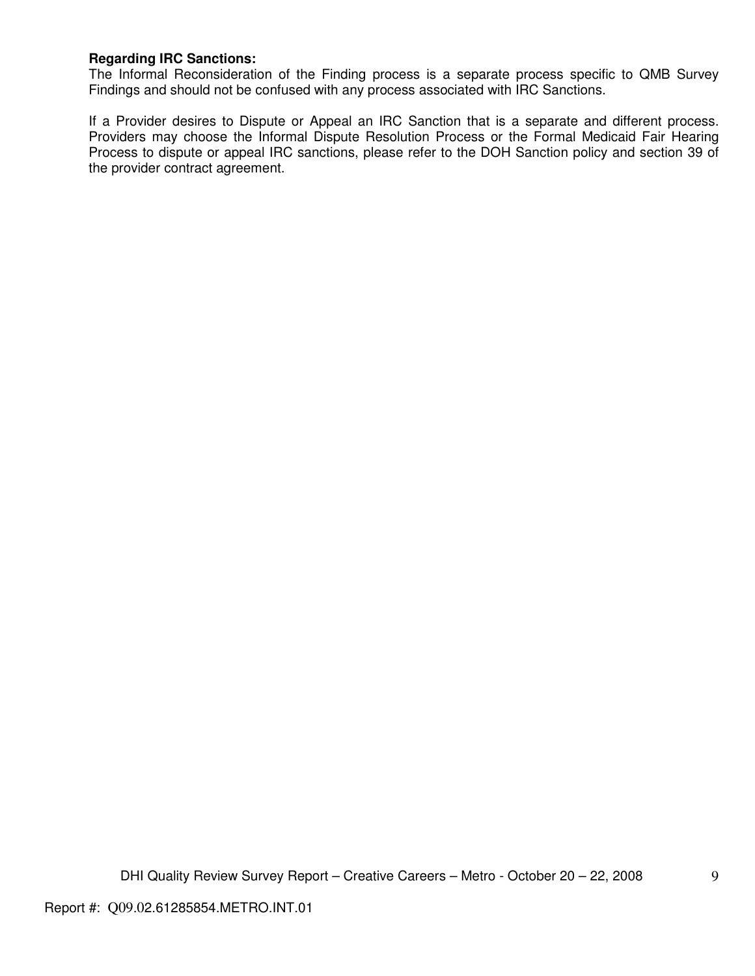## **Regarding IRC Sanctions:**

The Informal Reconsideration of the Finding process is a separate process specific to QMB Survey Findings and should not be confused with any process associated with IRC Sanctions.

If a Provider desires to Dispute or Appeal an IRC Sanction that is a separate and different process. Providers may choose the Informal Dispute Resolution Process or the Formal Medicaid Fair Hearing Process to dispute or appeal IRC sanctions, please refer to the DOH Sanction policy and section 39 of the provider contract agreement.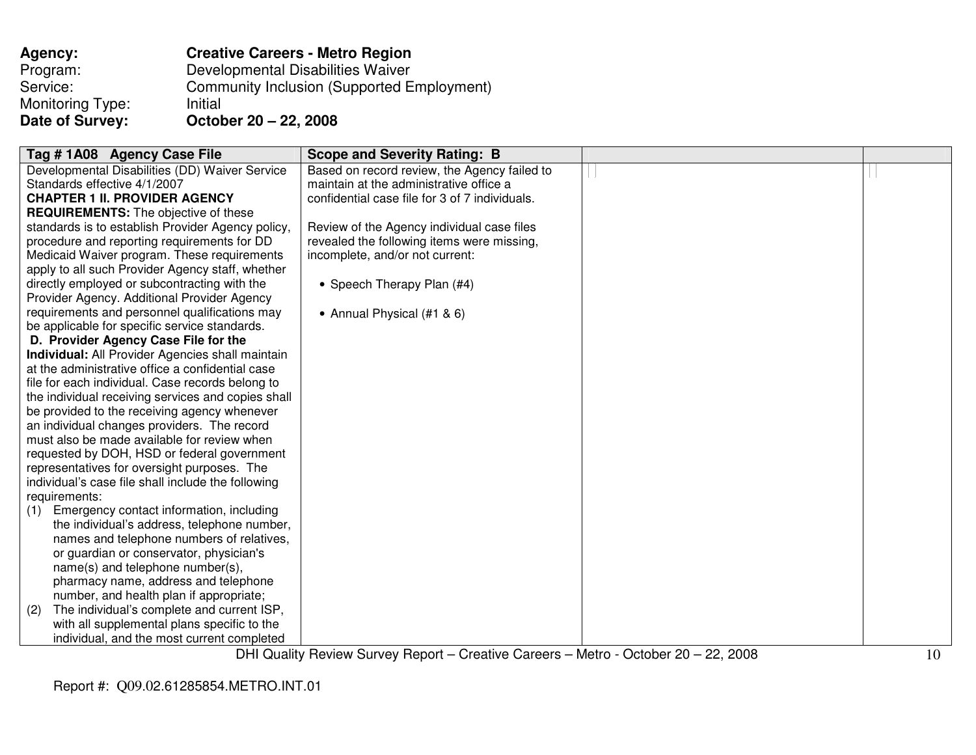| <b>Agency:</b>   | <b>Creative Careers - Metro Region</b>            |
|------------------|---------------------------------------------------|
| Program:         | Developmental Disabilities Waiver                 |
| Service:         | <b>Community Inclusion (Supported Employment)</b> |
| Monitoring Type: | Initial                                           |
| Date of Survey:  | October 20 - 22, 2008                             |

| Tag # 1A08 Agency Case File                             | <b>Scope and Severity Rating: B</b>                                                 |    |
|---------------------------------------------------------|-------------------------------------------------------------------------------------|----|
| Developmental Disabilities (DD) Waiver Service          | Based on record review, the Agency failed to                                        |    |
| Standards effective 4/1/2007                            | maintain at the administrative office a                                             |    |
| <b>CHAPTER 1 II. PROVIDER AGENCY</b>                    | confidential case file for 3 of 7 individuals.                                      |    |
| <b>REQUIREMENTS:</b> The objective of these             |                                                                                     |    |
| standards is to establish Provider Agency policy,       | Review of the Agency individual case files                                          |    |
| procedure and reporting requirements for DD             | revealed the following items were missing,                                          |    |
| Medicaid Waiver program. These requirements             | incomplete, and/or not current:                                                     |    |
| apply to all such Provider Agency staff, whether        |                                                                                     |    |
| directly employed or subcontracting with the            | • Speech Therapy Plan (#4)                                                          |    |
| Provider Agency. Additional Provider Agency             |                                                                                     |    |
| requirements and personnel qualifications may           | • Annual Physical (#1 & 6)                                                          |    |
| be applicable for specific service standards.           |                                                                                     |    |
| D. Provider Agency Case File for the                    |                                                                                     |    |
| <b>Individual:</b> All Provider Agencies shall maintain |                                                                                     |    |
| at the administrative office a confidential case        |                                                                                     |    |
| file for each individual. Case records belong to        |                                                                                     |    |
| the individual receiving services and copies shall      |                                                                                     |    |
| be provided to the receiving agency whenever            |                                                                                     |    |
| an individual changes providers. The record             |                                                                                     |    |
| must also be made available for review when             |                                                                                     |    |
| requested by DOH, HSD or federal government             |                                                                                     |    |
| representatives for oversight purposes. The             |                                                                                     |    |
| individual's case file shall include the following      |                                                                                     |    |
| requirements:                                           |                                                                                     |    |
| Emergency contact information, including<br>(1)         |                                                                                     |    |
| the individual's address, telephone number,             |                                                                                     |    |
| names and telephone numbers of relatives,               |                                                                                     |    |
| or guardian or conservator, physician's                 |                                                                                     |    |
| name(s) and telephone number(s),                        |                                                                                     |    |
| pharmacy name, address and telephone                    |                                                                                     |    |
| number, and health plan if appropriate;                 |                                                                                     |    |
| The individual's complete and current ISP,<br>(2)       |                                                                                     |    |
| with all supplemental plans specific to the             |                                                                                     |    |
| individual, and the most current completed              |                                                                                     |    |
|                                                         | DHI Quality Review Survey Report – Creative Careers – Metro - October 20 – 22, 2008 | 10 |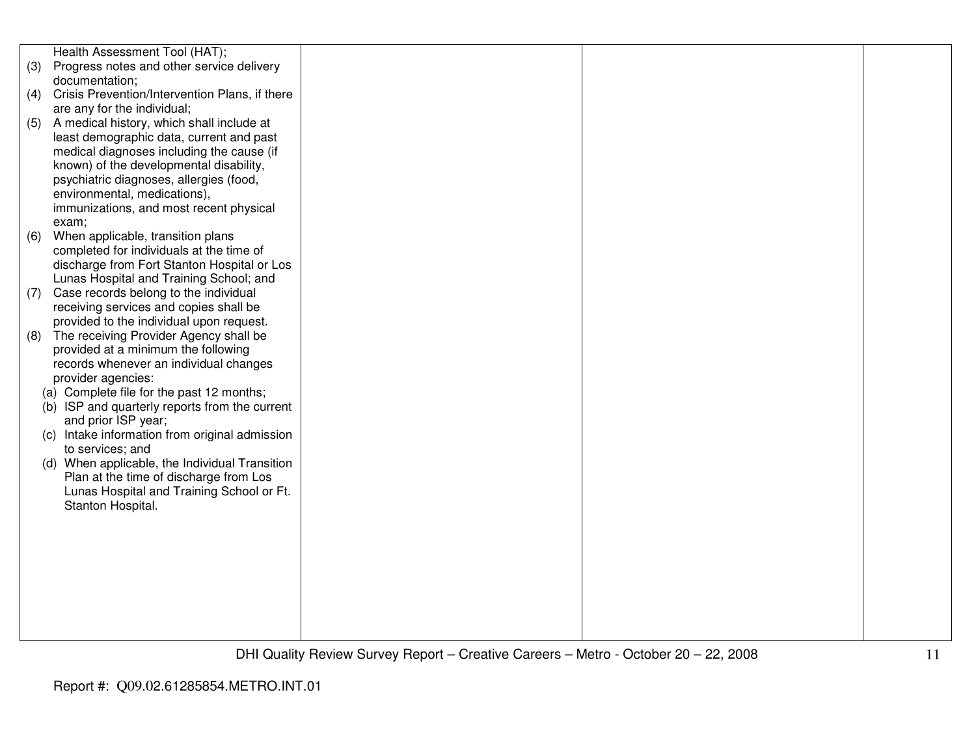|     | Health Assessment Tool (HAT);                                      |  |
|-----|--------------------------------------------------------------------|--|
| (3) | Progress notes and other service delivery                          |  |
|     | documentation;                                                     |  |
|     | (4) Crisis Prevention/Intervention Plans, if there                 |  |
|     | are any for the individual;                                        |  |
| (5) | A medical history, which shall include at                          |  |
|     | least demographic data, current and past                           |  |
|     | medical diagnoses including the cause (if                          |  |
|     | known) of the developmental disability,                            |  |
|     | psychiatric diagnoses, allergies (food,                            |  |
|     | environmental, medications),                                       |  |
|     | immunizations, and most recent physical                            |  |
|     | exam;                                                              |  |
| (6) | When applicable, transition plans                                  |  |
|     | completed for individuals at the time of                           |  |
|     | discharge from Fort Stanton Hospital or Los                        |  |
|     | Lunas Hospital and Training School; and                            |  |
| (7) | Case records belong to the individual                              |  |
|     | receiving services and copies shall be                             |  |
|     | provided to the individual upon request.                           |  |
| (8) | The receiving Provider Agency shall be                             |  |
|     | provided at a minimum the following                                |  |
|     | records whenever an individual changes                             |  |
|     | provider agencies:                                                 |  |
|     | (a) Complete file for the past 12 months;                          |  |
|     | (b) ISP and quarterly reports from the current                     |  |
|     | and prior ISP year;                                                |  |
|     | (c) Intake information from original admission<br>to services; and |  |
|     | (d) When applicable, the Individual Transition                     |  |
|     | Plan at the time of discharge from Los                             |  |
|     | Lunas Hospital and Training School or Ft.                          |  |
|     | Stanton Hospital.                                                  |  |
|     |                                                                    |  |
|     |                                                                    |  |
|     |                                                                    |  |
|     |                                                                    |  |
|     |                                                                    |  |
|     |                                                                    |  |
|     |                                                                    |  |
|     |                                                                    |  |
|     |                                                                    |  |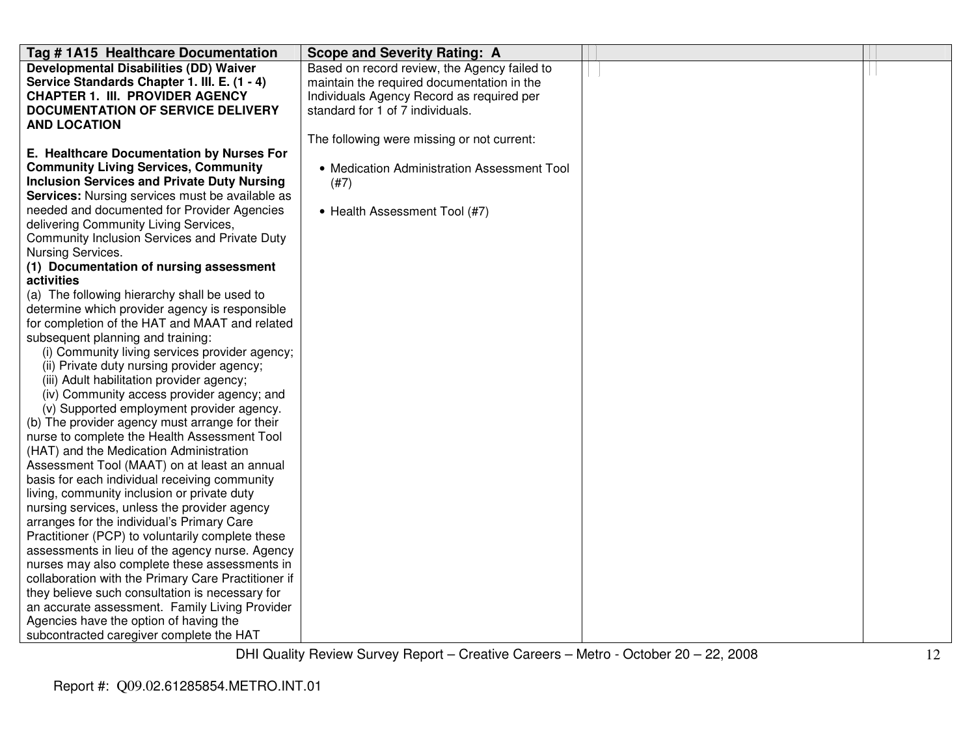| Tag # 1A15 Healthcare Documentation                                                 | <b>Scope and Severity Rating: A</b>          |  |
|-------------------------------------------------------------------------------------|----------------------------------------------|--|
| <b>Developmental Disabilities (DD) Waiver</b>                                       | Based on record review, the Agency failed to |  |
| Service Standards Chapter 1. III. E. (1 - 4)                                        | maintain the required documentation in the   |  |
| <b>CHAPTER 1. III. PROVIDER AGENCY</b>                                              | Individuals Agency Record as required per    |  |
| <b>DOCUMENTATION OF SERVICE DELIVERY</b>                                            | standard for 1 of 7 individuals.             |  |
| <b>AND LOCATION</b>                                                                 |                                              |  |
|                                                                                     | The following were missing or not current:   |  |
| E. Healthcare Documentation by Nurses For                                           |                                              |  |
| <b>Community Living Services, Community</b>                                         | • Medication Administration Assessment Tool  |  |
| <b>Inclusion Services and Private Duty Nursing</b>                                  | (#7)                                         |  |
| <b>Services:</b> Nursing services must be available as                              |                                              |  |
| needed and documented for Provider Agencies                                         | • Health Assessment Tool (#7)                |  |
| delivering Community Living Services,                                               |                                              |  |
| Community Inclusion Services and Private Duty                                       |                                              |  |
| Nursing Services.                                                                   |                                              |  |
| (1) Documentation of nursing assessment                                             |                                              |  |
| activities                                                                          |                                              |  |
| (a) The following hierarchy shall be used to                                        |                                              |  |
| determine which provider agency is responsible                                      |                                              |  |
| for completion of the HAT and MAAT and related                                      |                                              |  |
| subsequent planning and training:<br>(i) Community living services provider agency; |                                              |  |
| (ii) Private duty nursing provider agency;                                          |                                              |  |
| (iii) Adult habilitation provider agency;                                           |                                              |  |
| (iv) Community access provider agency; and                                          |                                              |  |
| (v) Supported employment provider agency.                                           |                                              |  |
| (b) The provider agency must arrange for their                                      |                                              |  |
| nurse to complete the Health Assessment Tool                                        |                                              |  |
| (HAT) and the Medication Administration                                             |                                              |  |
| Assessment Tool (MAAT) on at least an annual                                        |                                              |  |
| basis for each individual receiving community                                       |                                              |  |
| living, community inclusion or private duty                                         |                                              |  |
| nursing services, unless the provider agency                                        |                                              |  |
| arranges for the individual's Primary Care                                          |                                              |  |
| Practitioner (PCP) to voluntarily complete these                                    |                                              |  |
| assessments in lieu of the agency nurse. Agency                                     |                                              |  |
| nurses may also complete these assessments in                                       |                                              |  |
| collaboration with the Primary Care Practitioner if                                 |                                              |  |
| they believe such consultation is necessary for                                     |                                              |  |
| an accurate assessment. Family Living Provider                                      |                                              |  |
| Agencies have the option of having the                                              |                                              |  |
| subcontracted caregiver complete the HAT                                            |                                              |  |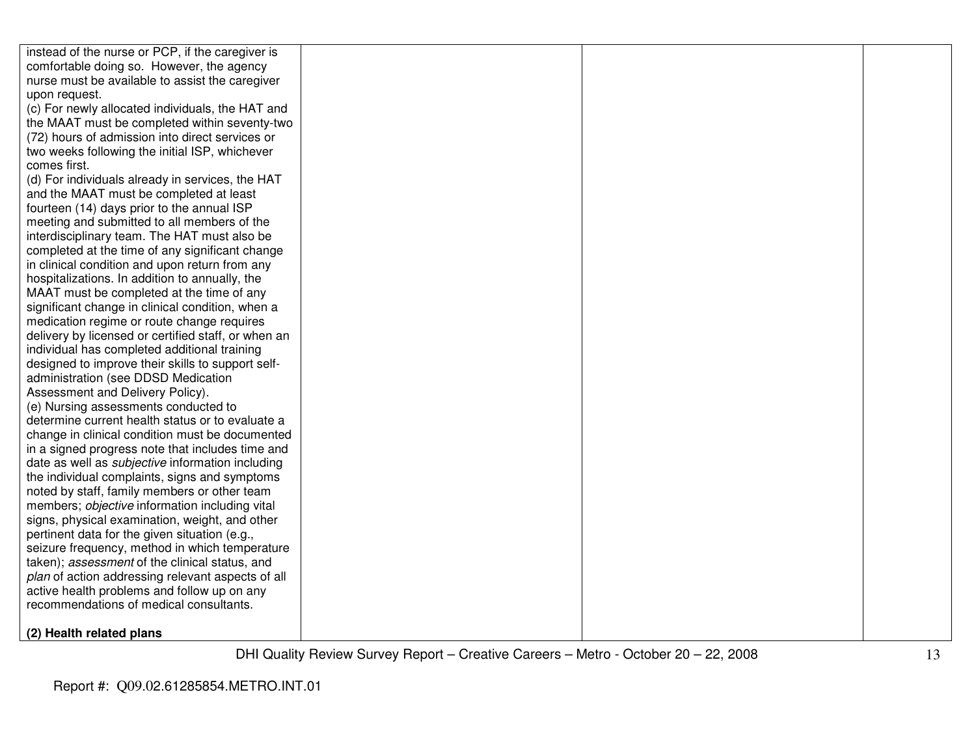| instead of the nurse or PCP, if the caregiver is        |  |  |
|---------------------------------------------------------|--|--|
| comfortable doing so. However, the agency               |  |  |
| nurse must be available to assist the caregiver         |  |  |
| upon request.                                           |  |  |
| (c) For newly allocated individuals, the HAT and        |  |  |
| the MAAT must be completed within seventy-two           |  |  |
| (72) hours of admission into direct services or         |  |  |
| two weeks following the initial ISP, whichever          |  |  |
| comes first.                                            |  |  |
| (d) For individuals already in services, the HAT        |  |  |
| and the MAAT must be completed at least                 |  |  |
| fourteen (14) days prior to the annual ISP              |  |  |
| meeting and submitted to all members of the             |  |  |
| interdisciplinary team. The HAT must also be            |  |  |
| completed at the time of any significant change         |  |  |
| in clinical condition and upon return from any          |  |  |
| hospitalizations. In addition to annually, the          |  |  |
| MAAT must be completed at the time of any               |  |  |
| significant change in clinical condition, when a        |  |  |
| medication regime or route change requires              |  |  |
| delivery by licensed or certified staff, or when an     |  |  |
| individual has completed additional training            |  |  |
| designed to improve their skills to support self-       |  |  |
| administration (see DDSD Medication                     |  |  |
| Assessment and Delivery Policy).                        |  |  |
| (e) Nursing assessments conducted to                    |  |  |
| determine current health status or to evaluate a        |  |  |
| change in clinical condition must be documented         |  |  |
| in a signed progress note that includes time and        |  |  |
| date as well as <i>subjective</i> information including |  |  |
| the individual complaints, signs and symptoms           |  |  |
| noted by staff, family members or other team            |  |  |
| members; objective information including vital          |  |  |
| signs, physical examination, weight, and other          |  |  |
| pertinent data for the given situation (e.g.,           |  |  |
| seizure frequency, method in which temperature          |  |  |
| taken); assessment of the clinical status, and          |  |  |
| plan of action addressing relevant aspects of all       |  |  |
| active health problems and follow up on any             |  |  |
| recommendations of medical consultants.                 |  |  |
|                                                         |  |  |
| (2) Health related plans                                |  |  |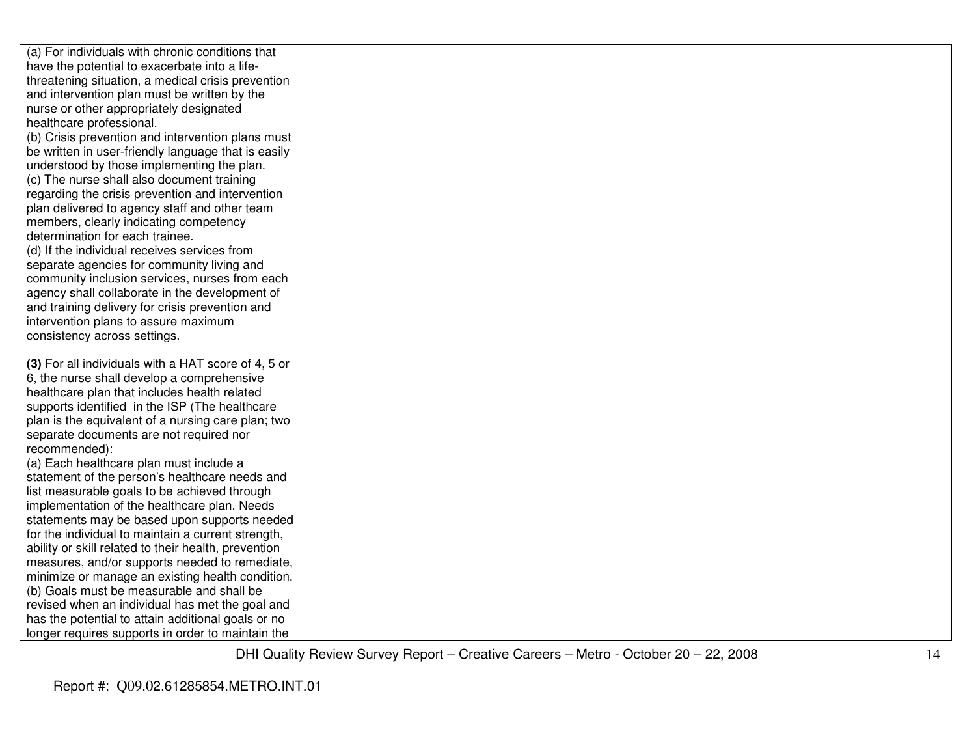| (a) For individuals with chronic conditions that     |  |  |
|------------------------------------------------------|--|--|
| have the potential to exacerbate into a life-        |  |  |
| threatening situation, a medical crisis prevention   |  |  |
| and intervention plan must be written by the         |  |  |
| nurse or other appropriately designated              |  |  |
| healthcare professional.                             |  |  |
| (b) Crisis prevention and intervention plans must    |  |  |
| be written in user-friendly language that is easily  |  |  |
| understood by those implementing the plan.           |  |  |
| (c) The nurse shall also document training           |  |  |
| regarding the crisis prevention and intervention     |  |  |
| plan delivered to agency staff and other team        |  |  |
| members, clearly indicating competency               |  |  |
| determination for each trainee.                      |  |  |
| (d) If the individual receives services from         |  |  |
| separate agencies for community living and           |  |  |
| community inclusion services, nurses from each       |  |  |
| agency shall collaborate in the development of       |  |  |
| and training delivery for crisis prevention and      |  |  |
| intervention plans to assure maximum                 |  |  |
| consistency across settings.                         |  |  |
|                                                      |  |  |
| (3) For all individuals with a HAT score of 4, 5 or  |  |  |
| 6, the nurse shall develop a comprehensive           |  |  |
| healthcare plan that includes health related         |  |  |
| supports identified in the ISP (The healthcare       |  |  |
| plan is the equivalent of a nursing care plan; two   |  |  |
| separate documents are not required nor              |  |  |
| recommended):                                        |  |  |
| (a) Each healthcare plan must include a              |  |  |
| statement of the person's healthcare needs and       |  |  |
| list measurable goals to be achieved through         |  |  |
| implementation of the healthcare plan. Needs         |  |  |
| statements may be based upon supports needed         |  |  |
| for the individual to maintain a current strength,   |  |  |
| ability or skill related to their health, prevention |  |  |
| measures, and/or supports needed to remediate,       |  |  |
| minimize or manage an existing health condition.     |  |  |
| (b) Goals must be measurable and shall be            |  |  |
| revised when an individual has met the goal and      |  |  |
| has the potential to attain additional goals or no   |  |  |
| longer requires supports in order to maintain the    |  |  |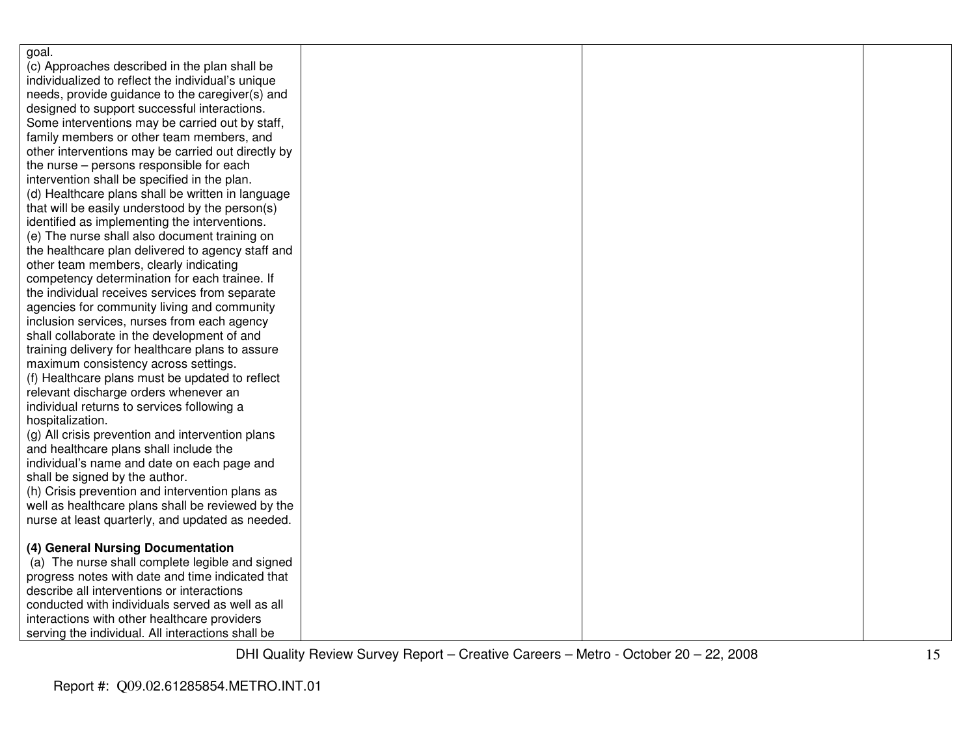| goal.                                              |  |  |
|----------------------------------------------------|--|--|
| (c) Approaches described in the plan shall be      |  |  |
| individualized to reflect the individual's unique  |  |  |
| needs, provide guidance to the caregiver(s) and    |  |  |
| designed to support successful interactions.       |  |  |
| Some interventions may be carried out by staff,    |  |  |
| family members or other team members, and          |  |  |
| other interventions may be carried out directly by |  |  |
| the nurse – persons responsible for each           |  |  |
| intervention shall be specified in the plan.       |  |  |
| (d) Healthcare plans shall be written in language  |  |  |
| that will be easily understood by the person(s)    |  |  |
| identified as implementing the interventions.      |  |  |
| (e) The nurse shall also document training on      |  |  |
| the healthcare plan delivered to agency staff and  |  |  |
| other team members, clearly indicating             |  |  |
| competency determination for each trainee. If      |  |  |
| the individual receives services from separate     |  |  |
| agencies for community living and community        |  |  |
| inclusion services, nurses from each agency        |  |  |
| shall collaborate in the development of and        |  |  |
| training delivery for healthcare plans to assure   |  |  |
| maximum consistency across settings.               |  |  |
| (f) Healthcare plans must be updated to reflect    |  |  |
| relevant discharge orders whenever an              |  |  |
| individual returns to services following a         |  |  |
| hospitalization.                                   |  |  |
| (g) All crisis prevention and intervention plans   |  |  |
| and healthcare plans shall include the             |  |  |
| individual's name and date on each page and        |  |  |
| shall be signed by the author.                     |  |  |
| (h) Crisis prevention and intervention plans as    |  |  |
| well as healthcare plans shall be reviewed by the  |  |  |
| nurse at least quarterly, and updated as needed.   |  |  |
|                                                    |  |  |
| (4) General Nursing Documentation                  |  |  |
| (a) The nurse shall complete legible and signed    |  |  |
| progress notes with date and time indicated that   |  |  |
| describe all interventions or interactions         |  |  |
| conducted with individuals served as well as all   |  |  |
| interactions with other healthcare providers       |  |  |
| serving the individual. All interactions shall be  |  |  |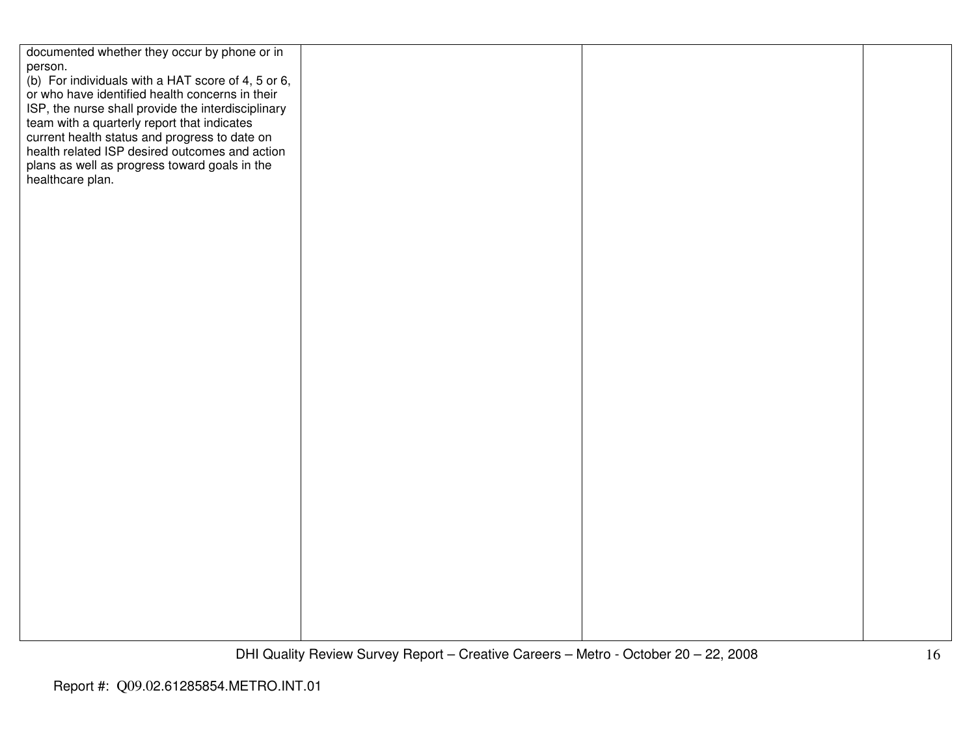| documented whether they occur by phone or in       |  |  |
|----------------------------------------------------|--|--|
| person.                                            |  |  |
| (b) For individuals with a HAT score of 4, 5 or 6, |  |  |
| or who have identified health concerns in their    |  |  |
| ISP, the nurse shall provide the interdisciplinary |  |  |
| team with a quarterly report that indicates        |  |  |
| current health status and progress to date on      |  |  |
| health related ISP desired outcomes and action     |  |  |
| plans as well as progress toward goals in the      |  |  |
| healthcare plan.                                   |  |  |
|                                                    |  |  |
|                                                    |  |  |
|                                                    |  |  |
|                                                    |  |  |
|                                                    |  |  |
|                                                    |  |  |
|                                                    |  |  |
|                                                    |  |  |
|                                                    |  |  |
|                                                    |  |  |
|                                                    |  |  |
|                                                    |  |  |
|                                                    |  |  |
|                                                    |  |  |
|                                                    |  |  |
|                                                    |  |  |
|                                                    |  |  |
|                                                    |  |  |
|                                                    |  |  |
|                                                    |  |  |
|                                                    |  |  |
|                                                    |  |  |
|                                                    |  |  |
|                                                    |  |  |
|                                                    |  |  |
|                                                    |  |  |
|                                                    |  |  |
|                                                    |  |  |
|                                                    |  |  |
|                                                    |  |  |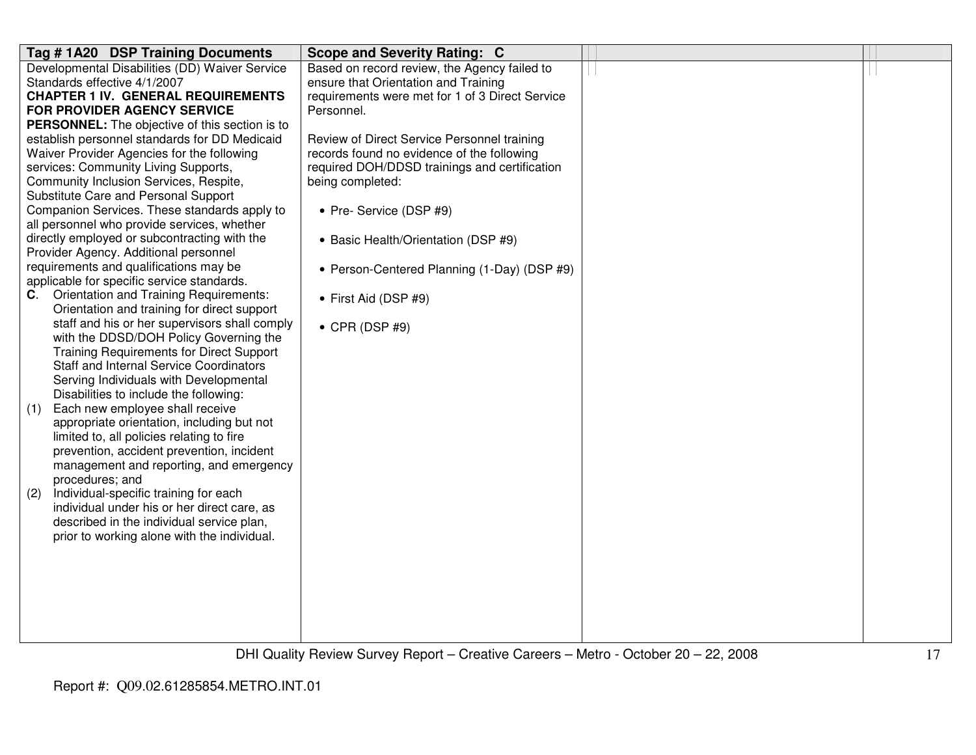| Tag # 1A20 DSP Training Documents                                                    | <b>Scope and Severity Rating: C</b>                               |  |
|--------------------------------------------------------------------------------------|-------------------------------------------------------------------|--|
| Developmental Disabilities (DD) Waiver Service                                       | Based on record review, the Agency failed to                      |  |
| Standards effective 4/1/2007                                                         | ensure that Orientation and Training                              |  |
| <b>CHAPTER 1 IV. GENERAL REQUIREMENTS</b>                                            | requirements were met for 1 of 3 Direct Service                   |  |
| FOR PROVIDER AGENCY SERVICE                                                          | Personnel.                                                        |  |
| <b>PERSONNEL:</b> The objective of this section is to                                |                                                                   |  |
| establish personnel standards for DD Medicaid                                        | Review of Direct Service Personnel training                       |  |
| Waiver Provider Agencies for the following                                           | records found no evidence of the following                        |  |
| services: Community Living Supports,<br>Community Inclusion Services, Respite,       | required DOH/DDSD trainings and certification<br>being completed: |  |
| Substitute Care and Personal Support                                                 |                                                                   |  |
| Companion Services. These standards apply to                                         | • Pre- Service (DSP #9)                                           |  |
| all personnel who provide services, whether                                          |                                                                   |  |
| directly employed or subcontracting with the                                         | • Basic Health/Orientation (DSP #9)                               |  |
| Provider Agency. Additional personnel                                                |                                                                   |  |
| requirements and qualifications may be                                               | • Person-Centered Planning (1-Day) (DSP #9)                       |  |
| applicable for specific service standards.                                           |                                                                   |  |
| C. Orientation and Training Requirements:                                            | • First Aid (DSP #9)                                              |  |
| Orientation and training for direct support                                          |                                                                   |  |
| staff and his or her supervisors shall comply                                        | $\bullet$ CPR (DSP #9)                                            |  |
| with the DDSD/DOH Policy Governing the                                               |                                                                   |  |
| <b>Training Requirements for Direct Support</b>                                      |                                                                   |  |
| <b>Staff and Internal Service Coordinators</b>                                       |                                                                   |  |
| Serving Individuals with Developmental                                               |                                                                   |  |
| Disabilities to include the following:                                               |                                                                   |  |
| Each new employee shall receive<br>(1)                                               |                                                                   |  |
| appropriate orientation, including but not                                           |                                                                   |  |
| limited to, all policies relating to fire                                            |                                                                   |  |
| prevention, accident prevention, incident<br>management and reporting, and emergency |                                                                   |  |
| procedures; and                                                                      |                                                                   |  |
| Individual-specific training for each<br>(2)                                         |                                                                   |  |
| individual under his or her direct care, as                                          |                                                                   |  |
| described in the individual service plan,                                            |                                                                   |  |
| prior to working alone with the individual.                                          |                                                                   |  |
|                                                                                      |                                                                   |  |
|                                                                                      |                                                                   |  |
|                                                                                      |                                                                   |  |
|                                                                                      |                                                                   |  |
|                                                                                      |                                                                   |  |
|                                                                                      |                                                                   |  |
|                                                                                      |                                                                   |  |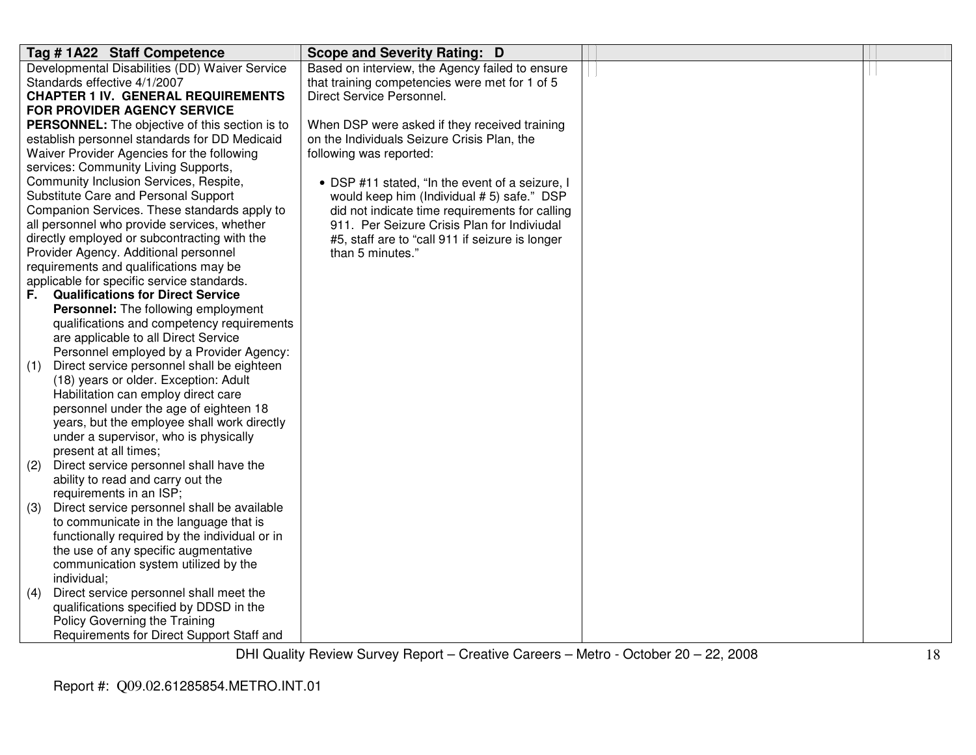| Tag # 1A22 Staff Competence                                  | <b>Scope and Severity Rating: D</b>             |  |
|--------------------------------------------------------------|-------------------------------------------------|--|
| Developmental Disabilities (DD) Waiver Service               | Based on interview, the Agency failed to ensure |  |
| Standards effective 4/1/2007                                 | that training competencies were met for 1 of 5  |  |
| <b>CHAPTER 1 IV. GENERAL REQUIREMENTS</b>                    | Direct Service Personnel.                       |  |
| FOR PROVIDER AGENCY SERVICE                                  |                                                 |  |
| PERSONNEL: The objective of this section is to               | When DSP were asked if they received training   |  |
| establish personnel standards for DD Medicaid                | on the Individuals Seizure Crisis Plan, the     |  |
| Waiver Provider Agencies for the following                   | following was reported:                         |  |
| services: Community Living Supports,                         |                                                 |  |
| Community Inclusion Services, Respite,                       | • DSP #11 stated, "In the event of a seizure, I |  |
| Substitute Care and Personal Support                         | would keep him (Individual #5) safe." DSP       |  |
| Companion Services. These standards apply to                 | did not indicate time requirements for calling  |  |
| all personnel who provide services, whether                  | 911. Per Seizure Crisis Plan for Indiviudal     |  |
| directly employed or subcontracting with the                 | #5, staff are to "call 911 if seizure is longer |  |
| Provider Agency. Additional personnel                        | than 5 minutes."                                |  |
| requirements and qualifications may be                       |                                                 |  |
| applicable for specific service standards.                   |                                                 |  |
| <b>Qualifications for Direct Service</b><br>F.,              |                                                 |  |
| Personnel: The following employment                          |                                                 |  |
| qualifications and competency requirements                   |                                                 |  |
| are applicable to all Direct Service                         |                                                 |  |
| Personnel employed by a Provider Agency:                     |                                                 |  |
| Direct service personnel shall be eighteen<br>(1)            |                                                 |  |
| (18) years or older. Exception: Adult                        |                                                 |  |
| Habilitation can employ direct care                          |                                                 |  |
| personnel under the age of eighteen 18                       |                                                 |  |
| years, but the employee shall work directly                  |                                                 |  |
| under a supervisor, who is physically                        |                                                 |  |
| present at all times;                                        |                                                 |  |
| Direct service personnel shall have the<br>(2)               |                                                 |  |
| ability to read and carry out the<br>requirements in an ISP; |                                                 |  |
| Direct service personnel shall be available                  |                                                 |  |
| (3)<br>to communicate in the language that is                |                                                 |  |
| functionally required by the individual or in                |                                                 |  |
| the use of any specific augmentative                         |                                                 |  |
| communication system utilized by the                         |                                                 |  |
| individual;                                                  |                                                 |  |
| Direct service personnel shall meet the<br>(4)               |                                                 |  |
| qualifications specified by DDSD in the                      |                                                 |  |
| Policy Governing the Training                                |                                                 |  |
| Requirements for Direct Support Staff and                    |                                                 |  |
|                                                              |                                                 |  |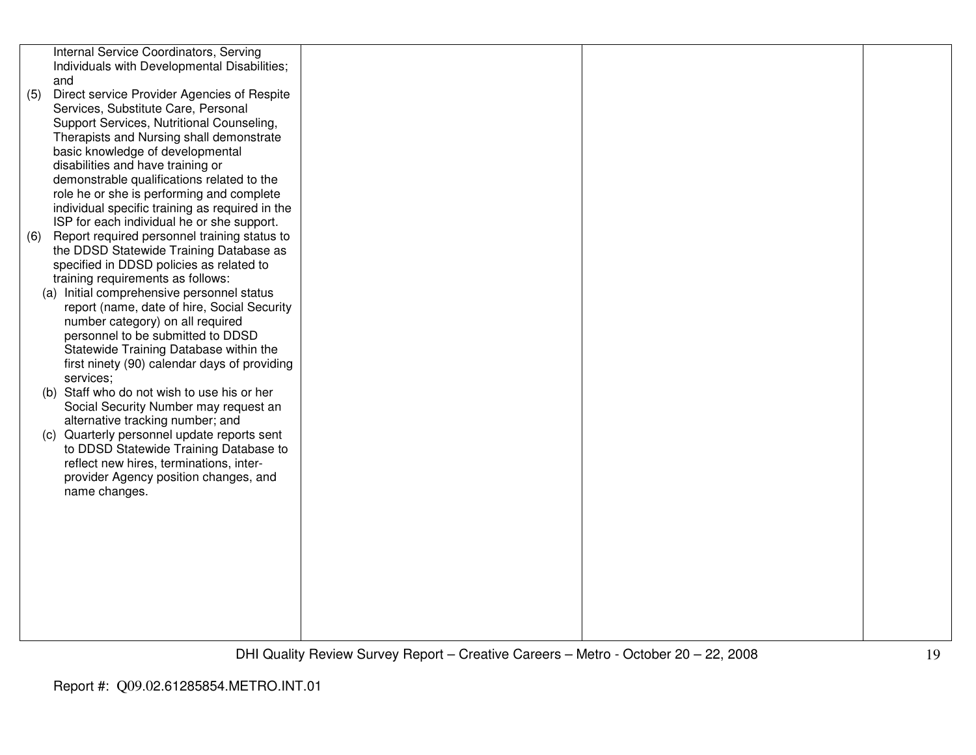|     | Internal Service Coordinators, Serving<br>Individuals with Developmental Disabilities;<br>and |  |  |
|-----|-----------------------------------------------------------------------------------------------|--|--|
| (5) | Direct service Provider Agencies of Respite                                                   |  |  |
|     | Services, Substitute Care, Personal                                                           |  |  |
|     | Support Services, Nutritional Counseling,                                                     |  |  |
|     | Therapists and Nursing shall demonstrate<br>basic knowledge of developmental                  |  |  |
|     | disabilities and have training or                                                             |  |  |
|     | demonstrable qualifications related to the                                                    |  |  |
|     | role he or she is performing and complete                                                     |  |  |
|     | individual specific training as required in the                                               |  |  |
|     | ISP for each individual he or she support.                                                    |  |  |
| (6) | Report required personnel training status to<br>the DDSD Statewide Training Database as       |  |  |
|     | specified in DDSD policies as related to                                                      |  |  |
|     | training requirements as follows:                                                             |  |  |
|     | (a) Initial comprehensive personnel status                                                    |  |  |
|     | report (name, date of hire, Social Security                                                   |  |  |
|     | number category) on all required<br>personnel to be submitted to DDSD                         |  |  |
|     | Statewide Training Database within the                                                        |  |  |
|     | first ninety (90) calendar days of providing                                                  |  |  |
|     | services;                                                                                     |  |  |
|     | (b) Staff who do not wish to use his or her<br>Social Security Number may request an          |  |  |
|     | alternative tracking number; and                                                              |  |  |
|     | (c) Quarterly personnel update reports sent                                                   |  |  |
|     | to DDSD Statewide Training Database to                                                        |  |  |
|     | reflect new hires, terminations, inter-                                                       |  |  |
|     | provider Agency position changes, and<br>name changes.                                        |  |  |
|     |                                                                                               |  |  |
|     |                                                                                               |  |  |
|     |                                                                                               |  |  |
|     |                                                                                               |  |  |
|     |                                                                                               |  |  |
|     |                                                                                               |  |  |
|     |                                                                                               |  |  |
|     |                                                                                               |  |  |
|     |                                                                                               |  |  |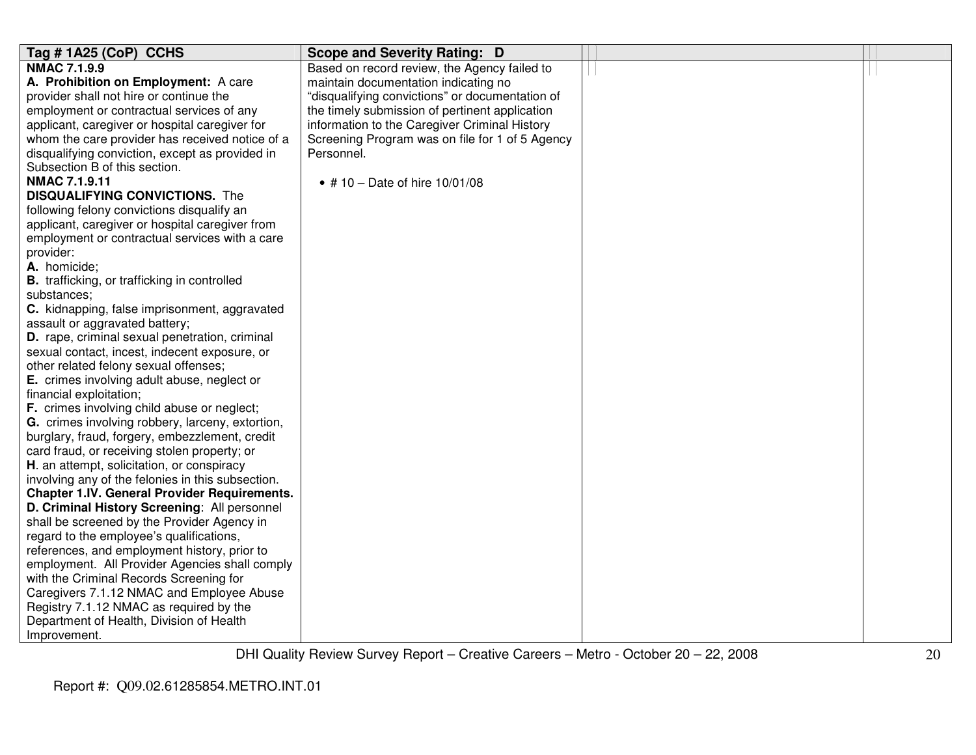| Tag #1A25 (CoP) CCHS                                | <b>Scope and Severity Rating: D</b>             |  |
|-----------------------------------------------------|-------------------------------------------------|--|
| <b>NMAC 7.1.9.9</b>                                 | Based on record review, the Agency failed to    |  |
| A. Prohibition on Employment: A care                | maintain documentation indicating no            |  |
| provider shall not hire or continue the             | "disqualifying convictions" or documentation of |  |
| employment or contractual services of any           | the timely submission of pertinent application  |  |
| applicant, caregiver or hospital caregiver for      | information to the Caregiver Criminal History   |  |
| whom the care provider has received notice of a     | Screening Program was on file for 1 of 5 Agency |  |
| disqualifying conviction, except as provided in     | Personnel.                                      |  |
| Subsection B of this section.                       |                                                 |  |
| <b>NMAC 7.1.9.11</b>                                | • # 10 – Date of hire $10/01/08$                |  |
| <b>DISQUALIFYING CONVICTIONS.</b> The               |                                                 |  |
| following felony convictions disqualify an          |                                                 |  |
| applicant, caregiver or hospital caregiver from     |                                                 |  |
| employment or contractual services with a care      |                                                 |  |
| provider:                                           |                                                 |  |
| A. homicide;                                        |                                                 |  |
| <b>B.</b> trafficking, or trafficking in controlled |                                                 |  |
| substances;                                         |                                                 |  |
| C. kidnapping, false imprisonment, aggravated       |                                                 |  |
| assault or aggravated battery;                      |                                                 |  |
| D. rape, criminal sexual penetration, criminal      |                                                 |  |
| sexual contact, incest, indecent exposure, or       |                                                 |  |
| other related felony sexual offenses;               |                                                 |  |
| E. crimes involving adult abuse, neglect or         |                                                 |  |
| financial exploitation;                             |                                                 |  |
| F. crimes involving child abuse or neglect;         |                                                 |  |
| G. crimes involving robbery, larceny, extortion,    |                                                 |  |
| burglary, fraud, forgery, embezzlement, credit      |                                                 |  |
| card fraud, or receiving stolen property; or        |                                                 |  |
| H. an attempt, solicitation, or conspiracy          |                                                 |  |
| involving any of the felonies in this subsection.   |                                                 |  |
| <b>Chapter 1.IV. General Provider Requirements.</b> |                                                 |  |
| D. Criminal History Screening: All personnel        |                                                 |  |
| shall be screened by the Provider Agency in         |                                                 |  |
| regard to the employee's qualifications,            |                                                 |  |
| references, and employment history, prior to        |                                                 |  |
| employment. All Provider Agencies shall comply      |                                                 |  |
| with the Criminal Records Screening for             |                                                 |  |
| Caregivers 7.1.12 NMAC and Employee Abuse           |                                                 |  |
| Registry 7.1.12 NMAC as required by the             |                                                 |  |
| Department of Health, Division of Health            |                                                 |  |
| Improvement.                                        |                                                 |  |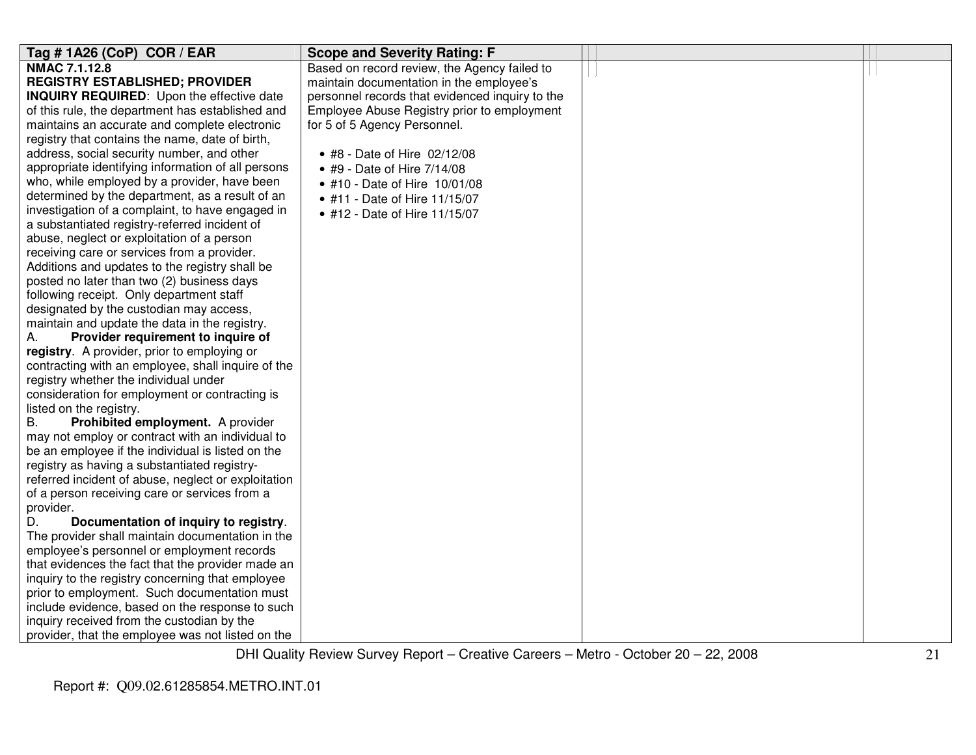| Tag #1A26 (CoP) COR / EAR                           | <b>Scope and Severity Rating: F</b>             |  |
|-----------------------------------------------------|-------------------------------------------------|--|
| <b>NMAC 7.1.12.8</b>                                | Based on record review, the Agency failed to    |  |
| <b>REGISTRY ESTABLISHED; PROVIDER</b>               | maintain documentation in the employee's        |  |
| <b>INQUIRY REQUIRED:</b> Upon the effective date    | personnel records that evidenced inquiry to the |  |
| of this rule, the department has established and    | Employee Abuse Registry prior to employment     |  |
| maintains an accurate and complete electronic       | for 5 of 5 Agency Personnel.                    |  |
| registry that contains the name, date of birth,     |                                                 |  |
| address, social security number, and other          | • #8 - Date of Hire 02/12/08                    |  |
| appropriate identifying information of all persons  | • #9 - Date of Hire 7/14/08                     |  |
| who, while employed by a provider, have been        | • #10 - Date of Hire 10/01/08                   |  |
| determined by the department, as a result of an     | • #11 - Date of Hire 11/15/07                   |  |
| investigation of a complaint, to have engaged in    | • #12 - Date of Hire 11/15/07                   |  |
| a substantiated registry-referred incident of       |                                                 |  |
| abuse, neglect or exploitation of a person          |                                                 |  |
| receiving care or services from a provider.         |                                                 |  |
| Additions and updates to the registry shall be      |                                                 |  |
| posted no later than two (2) business days          |                                                 |  |
| following receipt. Only department staff            |                                                 |  |
| designated by the custodian may access,             |                                                 |  |
| maintain and update the data in the registry.       |                                                 |  |
| Provider requirement to inquire of<br>А.            |                                                 |  |
| registry. A provider, prior to employing or         |                                                 |  |
| contracting with an employee, shall inquire of the  |                                                 |  |
| registry whether the individual under               |                                                 |  |
| consideration for employment or contracting is      |                                                 |  |
| listed on the registry.                             |                                                 |  |
| B.<br>Prohibited employment. A provider             |                                                 |  |
| may not employ or contract with an individual to    |                                                 |  |
| be an employee if the individual is listed on the   |                                                 |  |
| registry as having a substantiated registry-        |                                                 |  |
| referred incident of abuse, neglect or exploitation |                                                 |  |
| of a person receiving care or services from a       |                                                 |  |
| provider.                                           |                                                 |  |
| D.<br>Documentation of inquiry to registry.         |                                                 |  |
| The provider shall maintain documentation in the    |                                                 |  |
| employee's personnel or employment records          |                                                 |  |
| that evidences the fact that the provider made an   |                                                 |  |
| inquiry to the registry concerning that employee    |                                                 |  |
| prior to employment. Such documentation must        |                                                 |  |
| include evidence, based on the response to such     |                                                 |  |
| inquiry received from the custodian by the          |                                                 |  |
| provider, that the employee was not listed on the   |                                                 |  |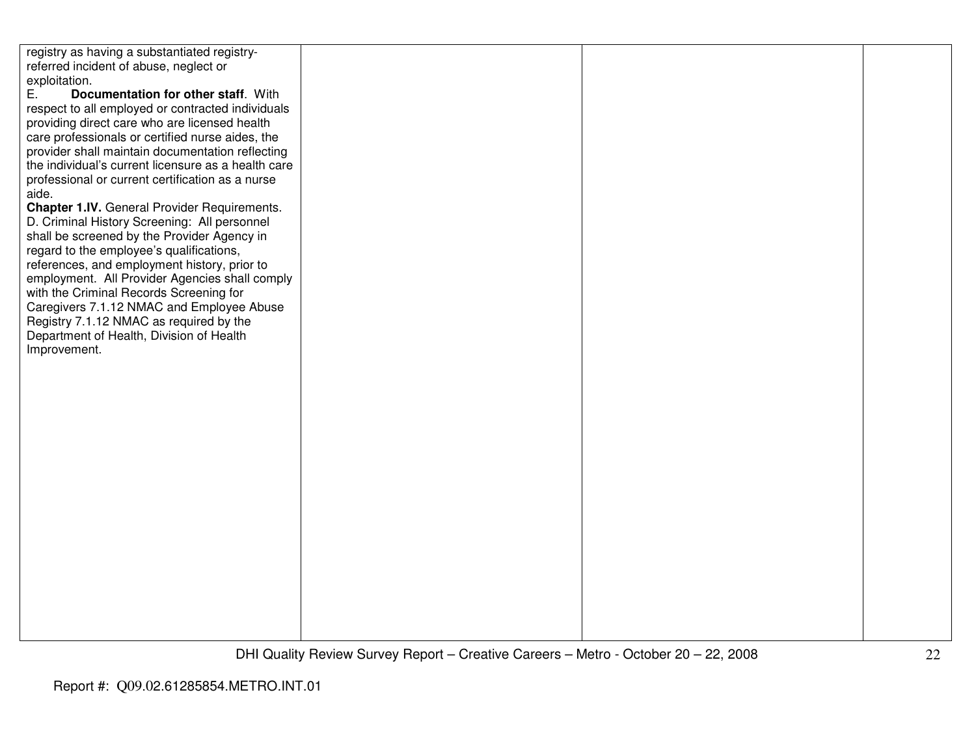| registry as having a substantiated registry-        |  |  |
|-----------------------------------------------------|--|--|
| referred incident of abuse, neglect or              |  |  |
| exploitation.                                       |  |  |
| Documentation for other staff. With<br>Ε.           |  |  |
| respect to all employed or contracted individuals   |  |  |
| providing direct care who are licensed health       |  |  |
| care professionals or certified nurse aides, the    |  |  |
| provider shall maintain documentation reflecting    |  |  |
| the individual's current licensure as a health care |  |  |
| professional or current certification as a nurse    |  |  |
| aide.                                               |  |  |
| Chapter 1.IV. General Provider Requirements.        |  |  |
| D. Criminal History Screening: All personnel        |  |  |
| shall be screened by the Provider Agency in         |  |  |
| regard to the employee's qualifications,            |  |  |
| references, and employment history, prior to        |  |  |
| employment. All Provider Agencies shall comply      |  |  |
| with the Criminal Records Screening for             |  |  |
| Caregivers 7.1.12 NMAC and Employee Abuse           |  |  |
| Registry 7.1.12 NMAC as required by the             |  |  |
| Department of Health, Division of Health            |  |  |
| Improvement.                                        |  |  |
|                                                     |  |  |
|                                                     |  |  |
|                                                     |  |  |
|                                                     |  |  |
|                                                     |  |  |
|                                                     |  |  |
|                                                     |  |  |
|                                                     |  |  |
|                                                     |  |  |
|                                                     |  |  |
|                                                     |  |  |
|                                                     |  |  |
|                                                     |  |  |
|                                                     |  |  |
|                                                     |  |  |
|                                                     |  |  |
|                                                     |  |  |
|                                                     |  |  |
|                                                     |  |  |
|                                                     |  |  |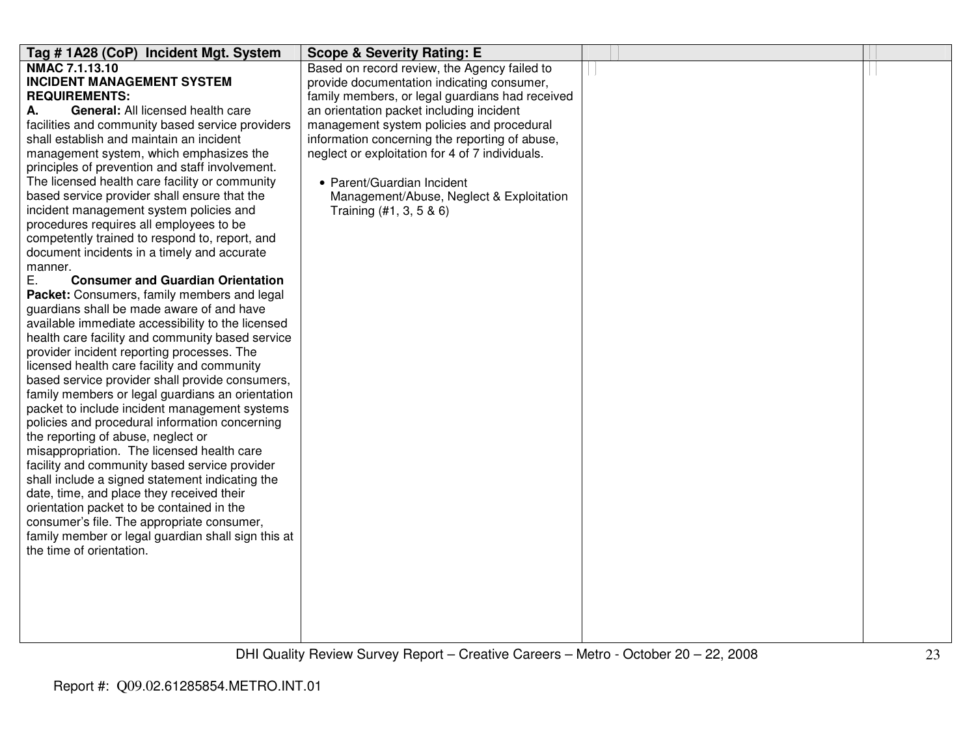| Tag #1A28 (CoP) Incident Mgt. System                                           | <b>Scope &amp; Severity Rating: E</b>           |  |
|--------------------------------------------------------------------------------|-------------------------------------------------|--|
| <b>NMAC 7.1.13.10</b>                                                          | Based on record review, the Agency failed to    |  |
| <b>INCIDENT MANAGEMENT SYSTEM</b>                                              | provide documentation indicating consumer,      |  |
| <b>REQUIREMENTS:</b>                                                           | family members, or legal guardians had received |  |
| General: All licensed health care<br>А.                                        | an orientation packet including incident        |  |
| facilities and community based service providers                               | management system policies and procedural       |  |
| shall establish and maintain an incident                                       | information concerning the reporting of abuse,  |  |
| management system, which emphasizes the                                        | neglect or exploitation for 4 of 7 individuals. |  |
| principles of prevention and staff involvement.                                |                                                 |  |
| The licensed health care facility or community                                 | • Parent/Guardian Incident                      |  |
| based service provider shall ensure that the                                   | Management/Abuse, Neglect & Exploitation        |  |
| incident management system policies and                                        | Training (#1, 3, 5 & 6)                         |  |
| procedures requires all employees to be                                        |                                                 |  |
| competently trained to respond to, report, and                                 |                                                 |  |
| document incidents in a timely and accurate                                    |                                                 |  |
| manner.                                                                        |                                                 |  |
| Ε.<br><b>Consumer and Guardian Orientation</b>                                 |                                                 |  |
| Packet: Consumers, family members and legal                                    |                                                 |  |
| guardians shall be made aware of and have                                      |                                                 |  |
| available immediate accessibility to the licensed                              |                                                 |  |
| health care facility and community based service                               |                                                 |  |
| provider incident reporting processes. The                                     |                                                 |  |
| licensed health care facility and community                                    |                                                 |  |
| based service provider shall provide consumers,                                |                                                 |  |
| family members or legal guardians an orientation                               |                                                 |  |
| packet to include incident management systems                                  |                                                 |  |
| policies and procedural information concerning                                 |                                                 |  |
| the reporting of abuse, neglect or                                             |                                                 |  |
| misappropriation. The licensed health care                                     |                                                 |  |
| facility and community based service provider                                  |                                                 |  |
| shall include a signed statement indicating the                                |                                                 |  |
| date, time, and place they received their                                      |                                                 |  |
| orientation packet to be contained in the                                      |                                                 |  |
| consumer's file. The appropriate consumer,                                     |                                                 |  |
| family member or legal guardian shall sign this at<br>the time of orientation. |                                                 |  |
|                                                                                |                                                 |  |
|                                                                                |                                                 |  |
|                                                                                |                                                 |  |
|                                                                                |                                                 |  |
|                                                                                |                                                 |  |
|                                                                                |                                                 |  |
|                                                                                |                                                 |  |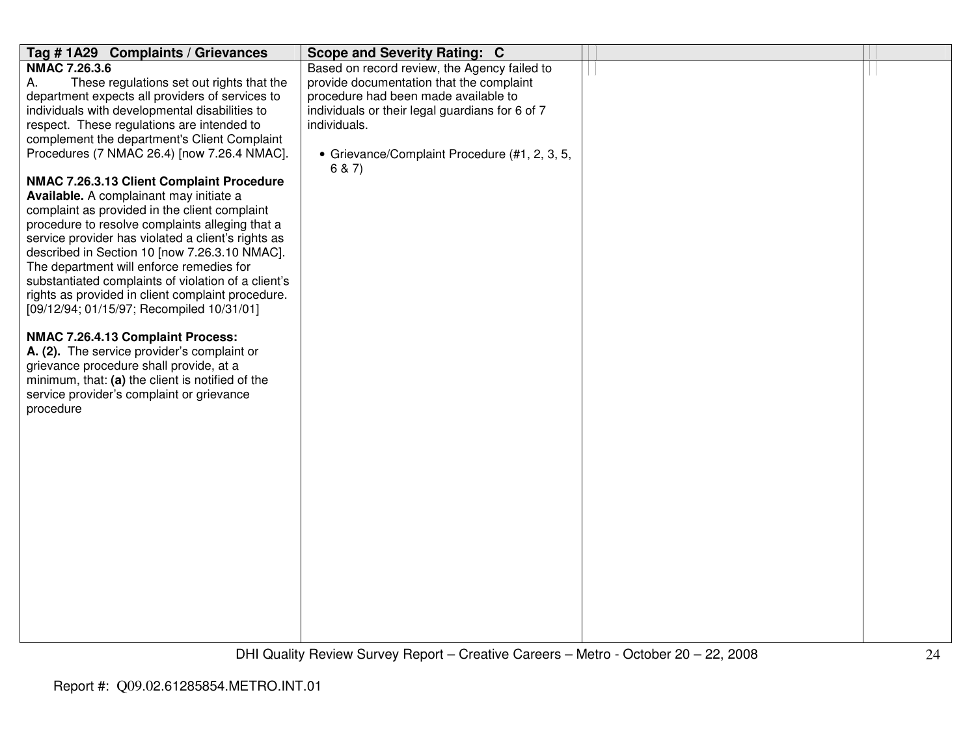| Tag #1A29 Complaints / Grievances                   | <b>Scope and Severity Rating: C</b>                     |  |
|-----------------------------------------------------|---------------------------------------------------------|--|
| <b>NMAC 7.26.3.6</b>                                | Based on record review, the Agency failed to            |  |
| Α.<br>These regulations set out rights that the     | provide documentation that the complaint                |  |
| department expects all providers of services to     | procedure had been made available to                    |  |
| individuals with developmental disabilities to      | individuals or their legal guardians for 6 of 7         |  |
| respect. These regulations are intended to          | individuals.                                            |  |
| complement the department's Client Complaint        |                                                         |  |
| Procedures (7 NMAC 26.4) [now 7.26.4 NMAC].         | • Grievance/Complaint Procedure (#1, 2, 3, 5,<br>6 & 7) |  |
| NMAC 7.26.3.13 Client Complaint Procedure           |                                                         |  |
| Available. A complainant may initiate a             |                                                         |  |
| complaint as provided in the client complaint       |                                                         |  |
| procedure to resolve complaints alleging that a     |                                                         |  |
| service provider has violated a client's rights as  |                                                         |  |
| described in Section 10 [now 7.26.3.10 NMAC].       |                                                         |  |
| The department will enforce remedies for            |                                                         |  |
| substantiated complaints of violation of a client's |                                                         |  |
| rights as provided in client complaint procedure.   |                                                         |  |
| [09/12/94; 01/15/97; Recompiled 10/31/01]           |                                                         |  |
| NMAC 7.26.4.13 Complaint Process:                   |                                                         |  |
| A. (2). The service provider's complaint or         |                                                         |  |
| grievance procedure shall provide, at a             |                                                         |  |
| minimum, that: (a) the client is notified of the    |                                                         |  |
| service provider's complaint or grievance           |                                                         |  |
| procedure                                           |                                                         |  |
|                                                     |                                                         |  |
|                                                     |                                                         |  |
|                                                     |                                                         |  |
|                                                     |                                                         |  |
|                                                     |                                                         |  |
|                                                     |                                                         |  |
|                                                     |                                                         |  |
|                                                     |                                                         |  |
|                                                     |                                                         |  |
|                                                     |                                                         |  |
|                                                     |                                                         |  |
|                                                     |                                                         |  |
|                                                     |                                                         |  |
|                                                     |                                                         |  |
|                                                     |                                                         |  |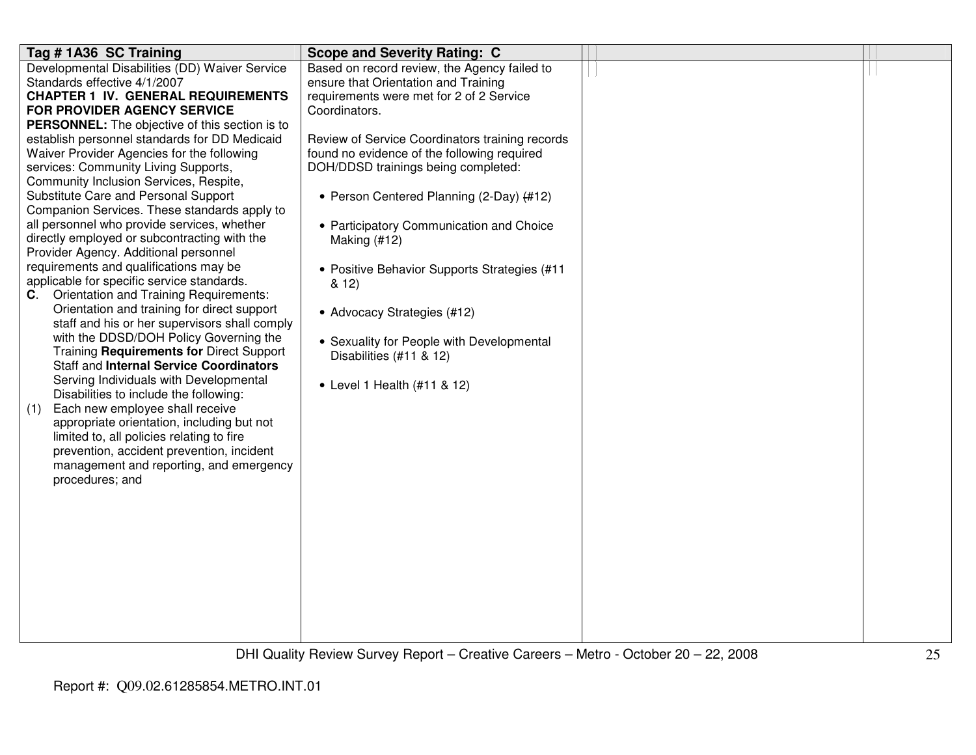| Tag #1A36 SC Training                                                                 | <b>Scope and Severity Rating: C</b>             |  |
|---------------------------------------------------------------------------------------|-------------------------------------------------|--|
| Developmental Disabilities (DD) Waiver Service                                        | Based on record review, the Agency failed to    |  |
| Standards effective 4/1/2007                                                          | ensure that Orientation and Training            |  |
| <b>CHAPTER 1 IV. GENERAL REQUIREMENTS</b>                                             | requirements were met for 2 of 2 Service        |  |
| FOR PROVIDER AGENCY SERVICE                                                           | Coordinators.                                   |  |
| PERSONNEL: The objective of this section is to                                        |                                                 |  |
| establish personnel standards for DD Medicaid                                         | Review of Service Coordinators training records |  |
| Waiver Provider Agencies for the following                                            | found no evidence of the following required     |  |
| services: Community Living Supports,                                                  | DOH/DDSD trainings being completed:             |  |
| Community Inclusion Services, Respite,                                                |                                                 |  |
| Substitute Care and Personal Support                                                  | • Person Centered Planning (2-Day) (#12)        |  |
| Companion Services. These standards apply to                                          |                                                 |  |
| all personnel who provide services, whether                                           | • Participatory Communication and Choice        |  |
| directly employed or subcontracting with the<br>Provider Agency. Additional personnel | Making (#12)                                    |  |
| requirements and qualifications may be                                                |                                                 |  |
| applicable for specific service standards.                                            | • Positive Behavior Supports Strategies (#11    |  |
| Orientation and Training Requirements:<br>C.                                          | & 12)                                           |  |
| Orientation and training for direct support                                           |                                                 |  |
| staff and his or her supervisors shall comply                                         | • Advocacy Strategies (#12)                     |  |
| with the DDSD/DOH Policy Governing the                                                |                                                 |  |
| Training Requirements for Direct Support                                              | • Sexuality for People with Developmental       |  |
| <b>Staff and Internal Service Coordinators</b>                                        | Disabilities (#11 & 12)                         |  |
| Serving Individuals with Developmental                                                |                                                 |  |
| Disabilities to include the following:                                                | • Level 1 Health (#11 & 12)                     |  |
| Each new employee shall receive<br>(1)                                                |                                                 |  |
| appropriate orientation, including but not                                            |                                                 |  |
| limited to, all policies relating to fire                                             |                                                 |  |
| prevention, accident prevention, incident                                             |                                                 |  |
| management and reporting, and emergency                                               |                                                 |  |
| procedures; and                                                                       |                                                 |  |
|                                                                                       |                                                 |  |
|                                                                                       |                                                 |  |
|                                                                                       |                                                 |  |
|                                                                                       |                                                 |  |
|                                                                                       |                                                 |  |
|                                                                                       |                                                 |  |
|                                                                                       |                                                 |  |
|                                                                                       |                                                 |  |
|                                                                                       |                                                 |  |
|                                                                                       |                                                 |  |
|                                                                                       |                                                 |  |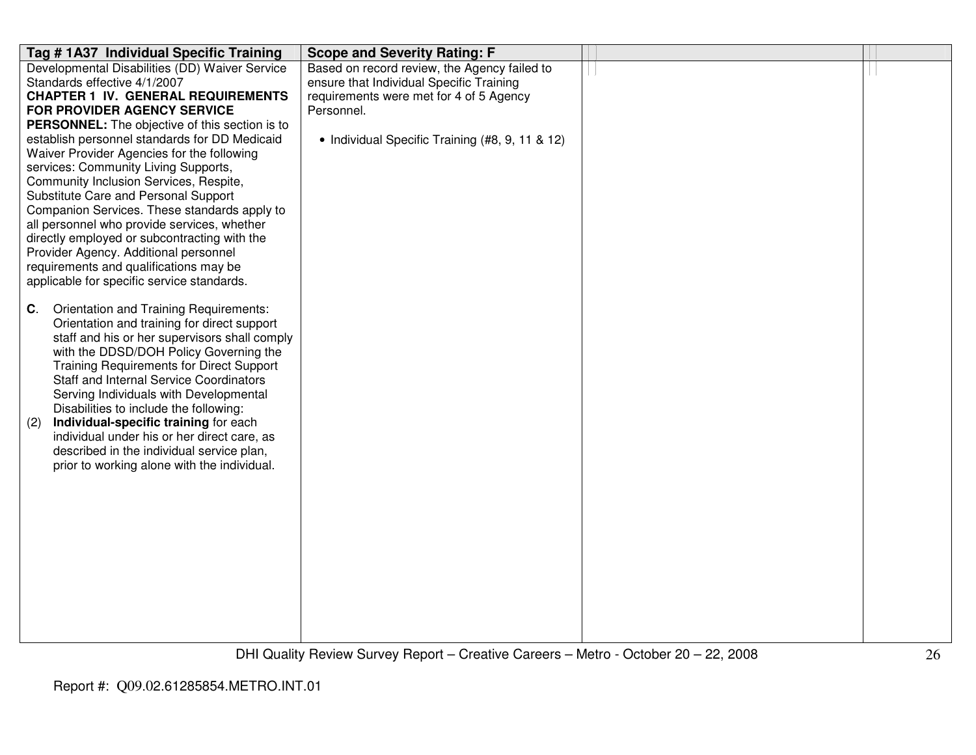| Tag #1A37 Individual Specific Training<br><b>Scope and Severity Rating: F</b>                    |  |
|--------------------------------------------------------------------------------------------------|--|
| Developmental Disabilities (DD) Waiver Service<br>Based on record review, the Agency failed to   |  |
| ensure that Individual Specific Training<br>Standards effective 4/1/2007                         |  |
| <b>CHAPTER 1 IV. GENERAL REQUIREMENTS</b><br>requirements were met for 4 of 5 Agency             |  |
| FOR PROVIDER AGENCY SERVICE<br>Personnel.                                                        |  |
| PERSONNEL: The objective of this section is to                                                   |  |
| establish personnel standards for DD Medicaid<br>• Individual Specific Training (#8, 9, 11 & 12) |  |
| Waiver Provider Agencies for the following                                                       |  |
| services: Community Living Supports,                                                             |  |
| Community Inclusion Services, Respite,                                                           |  |
| Substitute Care and Personal Support                                                             |  |
| Companion Services. These standards apply to                                                     |  |
| all personnel who provide services, whether                                                      |  |
| directly employed or subcontracting with the                                                     |  |
| Provider Agency. Additional personnel                                                            |  |
| requirements and qualifications may be                                                           |  |
| applicable for specific service standards.                                                       |  |
|                                                                                                  |  |
| Orientation and Training Requirements:<br>C.                                                     |  |
| Orientation and training for direct support                                                      |  |
| staff and his or her supervisors shall comply<br>with the DDSD/DOH Policy Governing the          |  |
| <b>Training Requirements for Direct Support</b>                                                  |  |
| <b>Staff and Internal Service Coordinators</b>                                                   |  |
| Serving Individuals with Developmental                                                           |  |
| Disabilities to include the following:                                                           |  |
| Individual-specific training for each<br>(2)                                                     |  |
| individual under his or her direct care, as                                                      |  |
| described in the individual service plan,                                                        |  |
| prior to working alone with the individual.                                                      |  |
|                                                                                                  |  |
|                                                                                                  |  |
|                                                                                                  |  |
|                                                                                                  |  |
|                                                                                                  |  |
|                                                                                                  |  |
|                                                                                                  |  |
|                                                                                                  |  |
|                                                                                                  |  |
|                                                                                                  |  |
|                                                                                                  |  |
|                                                                                                  |  |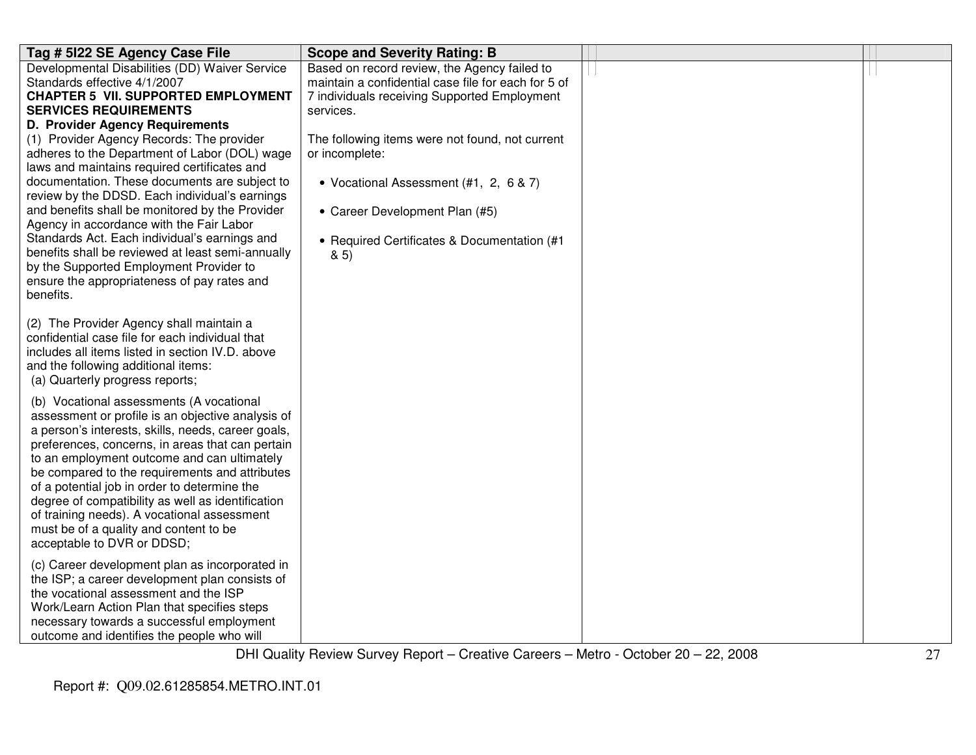| Tag # 5122 SE Agency Case File                                                                                                                                                                                                                                                                                                                                                                                                                                                                                                                            | <b>Scope and Severity Rating: B</b>                                                                                                                                                                 |  |
|-----------------------------------------------------------------------------------------------------------------------------------------------------------------------------------------------------------------------------------------------------------------------------------------------------------------------------------------------------------------------------------------------------------------------------------------------------------------------------------------------------------------------------------------------------------|-----------------------------------------------------------------------------------------------------------------------------------------------------------------------------------------------------|--|
| Developmental Disabilities (DD) Waiver Service<br>Standards effective 4/1/2007<br><b>CHAPTER 5 VII. SUPPORTED EMPLOYMENT</b><br><b>SERVICES REQUIREMENTS</b><br>D. Provider Agency Requirements                                                                                                                                                                                                                                                                                                                                                           | Based on record review, the Agency failed to<br>maintain a confidential case file for each for 5 of<br>7 individuals receiving Supported Employment<br>services.                                    |  |
| (1) Provider Agency Records: The provider<br>adheres to the Department of Labor (DOL) wage<br>laws and maintains required certificates and<br>documentation. These documents are subject to<br>review by the DDSD. Each individual's earnings<br>and benefits shall be monitored by the Provider<br>Agency in accordance with the Fair Labor<br>Standards Act. Each individual's earnings and<br>benefits shall be reviewed at least semi-annually<br>by the Supported Employment Provider to<br>ensure the appropriateness of pay rates and<br>benefits. | The following items were not found, not current<br>or incomplete:<br>• Vocational Assessment (#1, 2, 6 & 7)<br>• Career Development Plan (#5)<br>• Required Certificates & Documentation (#1<br>85) |  |
| (2) The Provider Agency shall maintain a<br>confidential case file for each individual that<br>includes all items listed in section IV.D. above<br>and the following additional items:<br>(a) Quarterly progress reports;                                                                                                                                                                                                                                                                                                                                 |                                                                                                                                                                                                     |  |
| (b) Vocational assessments (A vocational<br>assessment or profile is an objective analysis of<br>a person's interests, skills, needs, career goals,<br>preferences, concerns, in areas that can pertain<br>to an employment outcome and can ultimately<br>be compared to the requirements and attributes<br>of a potential job in order to determine the<br>degree of compatibility as well as identification<br>of training needs). A vocational assessment<br>must be of a quality and content to be<br>acceptable to DVR or DDSD;                      |                                                                                                                                                                                                     |  |
| (c) Career development plan as incorporated in<br>the ISP; a career development plan consists of<br>the vocational assessment and the ISP<br>Work/Learn Action Plan that specifies steps<br>necessary towards a successful employment<br>outcome and identifies the people who will                                                                                                                                                                                                                                                                       |                                                                                                                                                                                                     |  |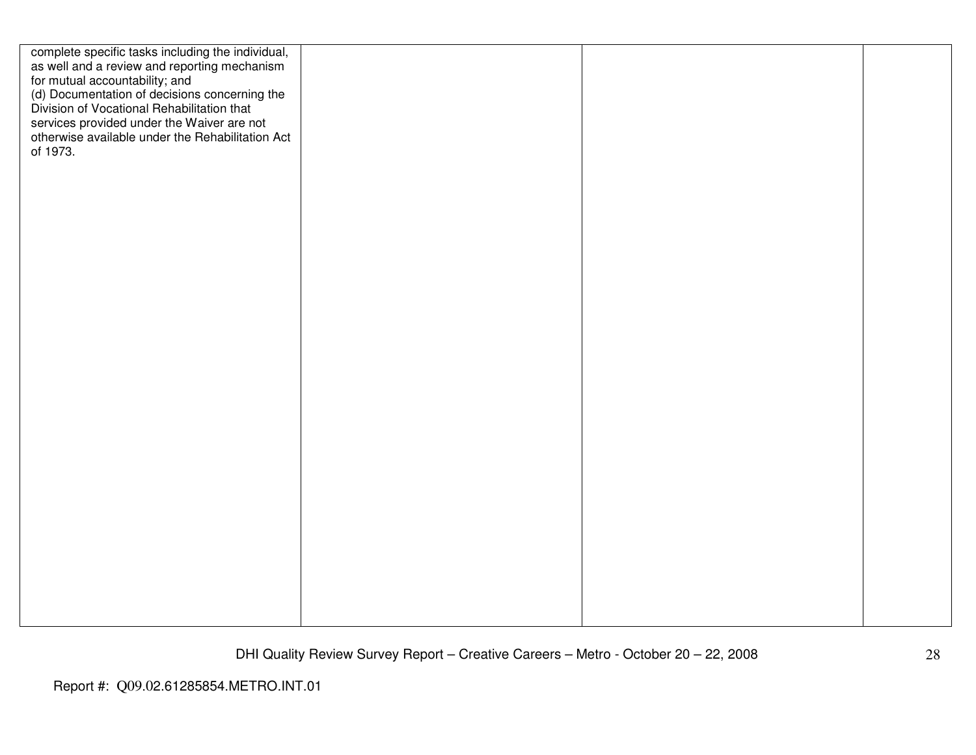| complete specific tasks including the individual,<br>as well and a review and reporting mechanism<br>for mutual accountability; and<br>(d) Documentation of decisions concerning the<br>Division of Vocational Rehabilitation that<br>services provided under the Waiver are not<br>otherwise available under the Rehabilitation Act<br>of 1973. |  |  |
|--------------------------------------------------------------------------------------------------------------------------------------------------------------------------------------------------------------------------------------------------------------------------------------------------------------------------------------------------|--|--|
|                                                                                                                                                                                                                                                                                                                                                  |  |  |
|                                                                                                                                                                                                                                                                                                                                                  |  |  |
|                                                                                                                                                                                                                                                                                                                                                  |  |  |